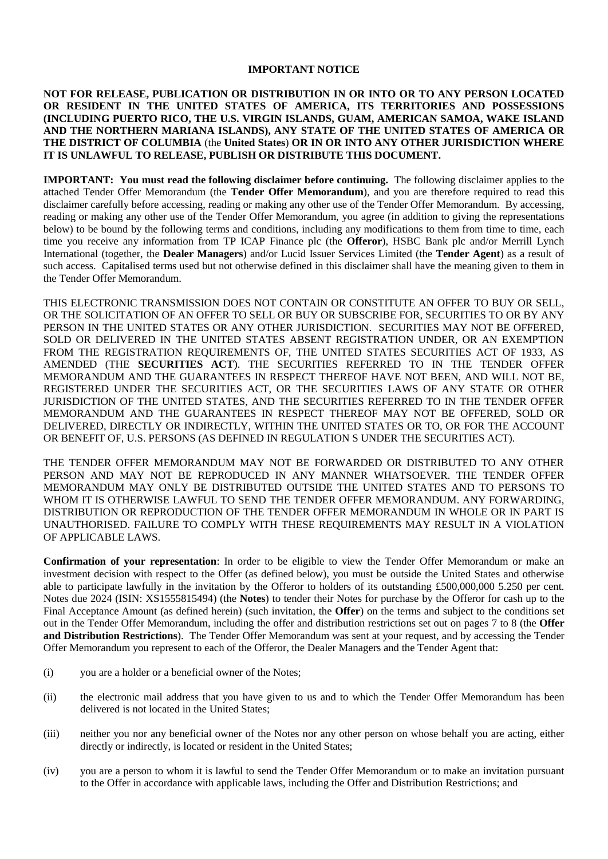## **IMPORTANT NOTICE**

**NOT FOR RELEASE, PUBLICATION OR DISTRIBUTION IN OR INTO OR TO ANY PERSON LOCATED OR RESIDENT IN THE UNITED STATES OF AMERICA, ITS TERRITORIES AND POSSESSIONS (INCLUDING PUERTO RICO, THE U.S. VIRGIN ISLANDS, GUAM, AMERICAN SAMOA, WAKE ISLAND AND THE NORTHERN MARIANA ISLANDS), ANY STATE OF THE UNITED STATES OF AMERICA OR THE DISTRICT OF COLUMBIA** (the **United States**) **OR IN OR INTO ANY OTHER JURISDICTION WHERE IT IS UNLAWFUL TO RELEASE, PUBLISH OR DISTRIBUTE THIS DOCUMENT.**

**IMPORTANT: You must read the following disclaimer before continuing.** The following disclaimer applies to the attached Tender Offer Memorandum (the **Tender Offer Memorandum**), and you are therefore required to read this disclaimer carefully before accessing, reading or making any other use of the Tender Offer Memorandum. By accessing, reading or making any other use of the Tender Offer Memorandum, you agree (in addition to giving the representations below) to be bound by the following terms and conditions, including any modifications to them from time to time, each time you receive any information from TP ICAP Finance plc (the **Offeror**), HSBC Bank plc and/or Merrill Lynch International (together, the **Dealer Managers**) and/or Lucid Issuer Services Limited (the **Tender Agent**) as a result of such access. Capitalised terms used but not otherwise defined in this disclaimer shall have the meaning given to them in the Tender Offer Memorandum.

THIS ELECTRONIC TRANSMISSION DOES NOT CONTAIN OR CONSTITUTE AN OFFER TO BUY OR SELL, OR THE SOLICITATION OF AN OFFER TO SELL OR BUY OR SUBSCRIBE FOR, SECURITIES TO OR BY ANY PERSON IN THE UNITED STATES OR ANY OTHER JURISDICTION. SECURITIES MAY NOT BE OFFERED, SOLD OR DELIVERED IN THE UNITED STATES ABSENT REGISTRATION UNDER, OR AN EXEMPTION FROM THE REGISTRATION REQUIREMENTS OF, THE UNITED STATES SECURITIES ACT OF 1933, AS AMENDED (THE **SECURITIES ACT**). THE SECURITIES REFERRED TO IN THE TENDER OFFER MEMORANDUM AND THE GUARANTEES IN RESPECT THEREOF HAVE NOT BEEN, AND WILL NOT BE, REGISTERED UNDER THE SECURITIES ACT, OR THE SECURITIES LAWS OF ANY STATE OR OTHER JURISDICTION OF THE UNITED STATES, AND THE SECURITIES REFERRED TO IN THE TENDER OFFER MEMORANDUM AND THE GUARANTEES IN RESPECT THEREOF MAY NOT BE OFFERED, SOLD OR DELIVERED, DIRECTLY OR INDIRECTLY, WITHIN THE UNITED STATES OR TO, OR FOR THE ACCOUNT OR BENEFIT OF, U.S. PERSONS (AS DEFINED IN REGULATION S UNDER THE SECURITIES ACT).

THE TENDER OFFER MEMORANDUM MAY NOT BE FORWARDED OR DISTRIBUTED TO ANY OTHER PERSON AND MAY NOT BE REPRODUCED IN ANY MANNER WHATSOEVER. THE TENDER OFFER MEMORANDUM MAY ONLY BE DISTRIBUTED OUTSIDE THE UNITED STATES AND TO PERSONS TO WHOM IT IS OTHERWISE LAWFUL TO SEND THE TENDER OFFER MEMORANDUM. ANY FORWARDING, DISTRIBUTION OR REPRODUCTION OF THE TENDER OFFER MEMORANDUM IN WHOLE OR IN PART IS UNAUTHORISED. FAILURE TO COMPLY WITH THESE REQUIREMENTS MAY RESULT IN A VIOLATION OF APPLICABLE LAWS.

**Confirmation of your representation**: In order to be eligible to view the Tender Offer Memorandum or make an investment decision with respect to the Offer (as defined below), you must be outside the United States and otherwise able to participate lawfully in the invitation by the Offeror to holders of its outstanding £500,000,000 5.250 per cent. Notes due 2024 (ISIN: XS1555815494) (the **Notes**) to tender their Notes for purchase by the Offeror for cash up to the Final Acceptance Amount (as defined herein) (such invitation, the **Offer**) on the terms and subject to the conditions set out in the Tender Offer Memorandum, including the offer and distribution restrictions set out on pages 7 to 8 (the **Offer and Distribution Restrictions**). The Tender Offer Memorandum was sent at your request, and by accessing the Tender Offer Memorandum you represent to each of the Offeror, the Dealer Managers and the Tender Agent that:

- (i) you are a holder or a beneficial owner of the Notes;
- (ii) the electronic mail address that you have given to us and to which the Tender Offer Memorandum has been delivered is not located in the United States;
- (iii) neither you nor any beneficial owner of the Notes nor any other person on whose behalf you are acting, either directly or indirectly, is located or resident in the United States;
- (iv) you are a person to whom it is lawful to send the Tender Offer Memorandum or to make an invitation pursuant to the Offer in accordance with applicable laws, including the Offer and Distribution Restrictions; and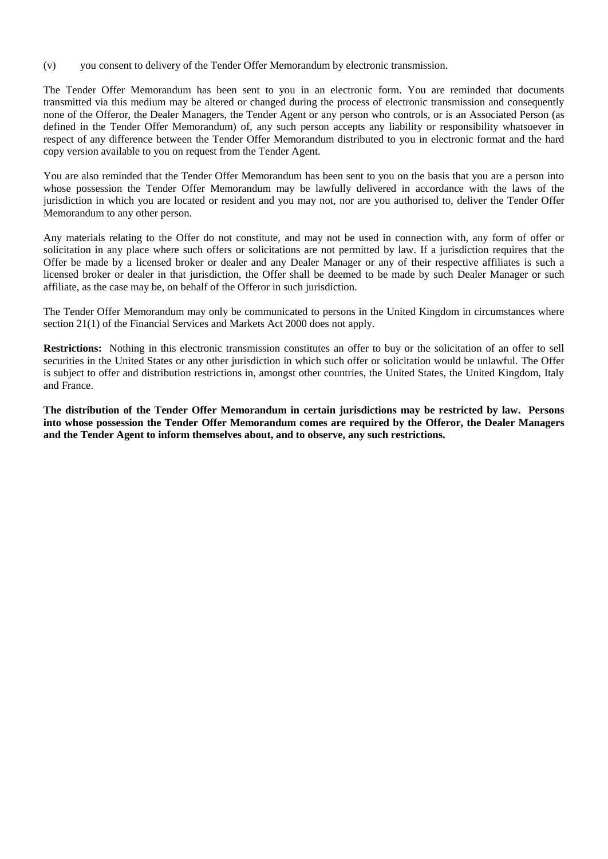(v) you consent to delivery of the Tender Offer Memorandum by electronic transmission.

The Tender Offer Memorandum has been sent to you in an electronic form. You are reminded that documents transmitted via this medium may be altered or changed during the process of electronic transmission and consequently none of the Offeror, the Dealer Managers, the Tender Agent or any person who controls, or is an Associated Person (as defined in the Tender Offer Memorandum) of, any such person accepts any liability or responsibility whatsoever in respect of any difference between the Tender Offer Memorandum distributed to you in electronic format and the hard copy version available to you on request from the Tender Agent.

You are also reminded that the Tender Offer Memorandum has been sent to you on the basis that you are a person into whose possession the Tender Offer Memorandum may be lawfully delivered in accordance with the laws of the jurisdiction in which you are located or resident and you may not, nor are you authorised to, deliver the Tender Offer Memorandum to any other person.

Any materials relating to the Offer do not constitute, and may not be used in connection with, any form of offer or solicitation in any place where such offers or solicitations are not permitted by law. If a jurisdiction requires that the Offer be made by a licensed broker or dealer and any Dealer Manager or any of their respective affiliates is such a licensed broker or dealer in that jurisdiction, the Offer shall be deemed to be made by such Dealer Manager or such affiliate, as the case may be, on behalf of the Offeror in such jurisdiction.

The Tender Offer Memorandum may only be communicated to persons in the United Kingdom in circumstances where section 21(1) of the Financial Services and Markets Act 2000 does not apply.

**Restrictions:** Nothing in this electronic transmission constitutes an offer to buy or the solicitation of an offer to sell securities in the United States or any other jurisdiction in which such offer or solicitation would be unlawful. The Offer is subject to offer and distribution restrictions in, amongst other countries, the United States, the United Kingdom, Italy and France.

**The distribution of the Tender Offer Memorandum in certain jurisdictions may be restricted by law. Persons into whose possession the Tender Offer Memorandum comes are required by the Offeror, the Dealer Managers and the Tender Agent to inform themselves about, and to observe, any such restrictions.**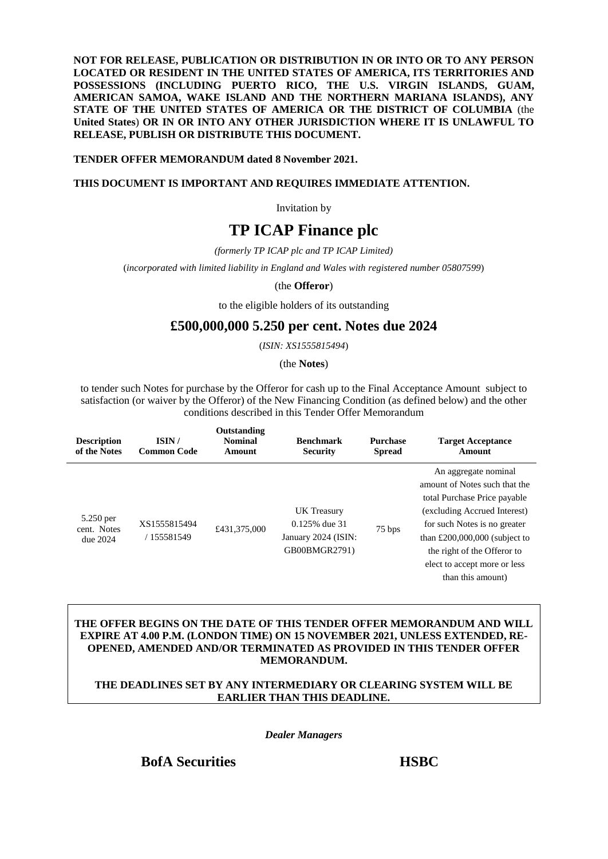**NOT FOR RELEASE, PUBLICATION OR DISTRIBUTION IN OR INTO OR TO ANY PERSON LOCATED OR RESIDENT IN THE UNITED STATES OF AMERICA, ITS TERRITORIES AND POSSESSIONS (INCLUDING PUERTO RICO, THE U.S. VIRGIN ISLANDS, GUAM, AMERICAN SAMOA, WAKE ISLAND AND THE NORTHERN MARIANA ISLANDS), ANY STATE OF THE UNITED STATES OF AMERICA OR THE DISTRICT OF COLUMBIA** (the **United States**) **OR IN OR INTO ANY OTHER JURISDICTION WHERE IT IS UNLAWFUL TO RELEASE, PUBLISH OR DISTRIBUTE THIS DOCUMENT.**

**TENDER OFFER MEMORANDUM dated 8 November 2021.**

**THIS DOCUMENT IS IMPORTANT AND REQUIRES IMMEDIATE ATTENTION.**

Invitation by

# **TP ICAP Finance plc**

*(formerly TP ICAP plc and TP ICAP Limited)*

(*incorporated with limited liability in England and Wales with registered number 05807599*)

(the **Offeror**)

to the eligible holders of its outstanding

# **£500,000,000 5.250 per cent. Notes due 2024**

(*ISIN: XS1555815494*)

(the **Notes**)

to tender such Notes for purchase by the Offeror for cash up to the Final Acceptance Amount subject to satisfaction (or waiver by the Offeror) of the New Financing Condition (as defined below) and the other conditions described in this Tender Offer Memorandum

| <b>Description</b><br>of the Notes     | ISIN/<br><b>Common Code</b> | Outstanding<br><b>Nominal</b><br>Amount | <b>Benchmark</b><br><b>Security</b>                                  | <b>Purchase</b><br><b>Spread</b> | <b>Target Acceptance</b><br>Amount                                                                                                                                                                                                                                           |
|----------------------------------------|-----------------------------|-----------------------------------------|----------------------------------------------------------------------|----------------------------------|------------------------------------------------------------------------------------------------------------------------------------------------------------------------------------------------------------------------------------------------------------------------------|
| 5.250 per<br>cent. Notes<br>due $2024$ | XS1555815494<br>/155581549  | £431,375,000                            | UK Treasury<br>0.125% due 31<br>January 2024 (ISIN:<br>GB00BMGR2791) | 75 bps                           | An aggregate nominal<br>amount of Notes such that the<br>total Purchase Price payable<br>(excluding Accrued Interest)<br>for such Notes is no greater<br>than $£200,000,000$ (subject to<br>the right of the Offeror to<br>elect to accept more or less<br>than this amount) |

### **THE OFFER BEGINS ON THE DATE OF THIS TENDER OFFER MEMORANDUM AND WILL EXPIRE AT 4.00 P.M. (LONDON TIME) ON 15 NOVEMBER 2021, UNLESS EXTENDED, RE-OPENED, AMENDED AND/OR TERMINATED AS PROVIDED IN THIS TENDER OFFER MEMORANDUM.**

# **THE DEADLINES SET BY ANY INTERMEDIARY OR CLEARING SYSTEM WILL BE EARLIER THAN THIS DEADLINE.**

*Dealer Managers*

**BofA Securities HSBC**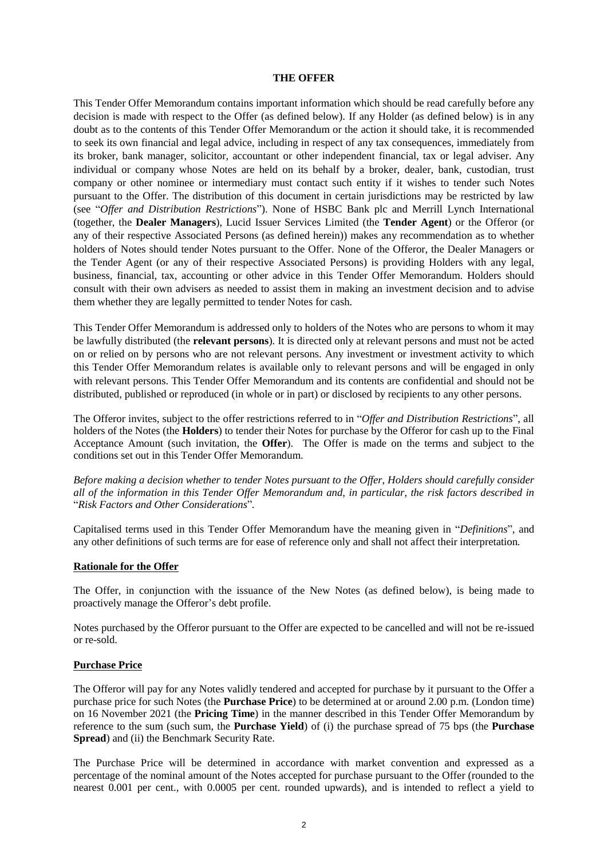#### **THE OFFER**

This Tender Offer Memorandum contains important information which should be read carefully before any decision is made with respect to the Offer (as defined below). If any Holder (as defined below) is in any doubt as to the contents of this Tender Offer Memorandum or the action it should take, it is recommended to seek its own financial and legal advice, including in respect of any tax consequences, immediately from its broker, bank manager, solicitor, accountant or other independent financial, tax or legal adviser. Any individual or company whose Notes are held on its behalf by a broker, dealer, bank, custodian, trust company or other nominee or intermediary must contact such entity if it wishes to tender such Notes pursuant to the Offer. The distribution of this document in certain jurisdictions may be restricted by law (see "*Offer and Distribution Restrictions*"). None of HSBC Bank plc and Merrill Lynch International (together, the **Dealer Managers**), Lucid Issuer Services Limited (the **Tender Agent**) or the Offeror (or any of their respective Associated Persons (as defined herein)) makes any recommendation as to whether holders of Notes should tender Notes pursuant to the Offer. None of the Offeror, the Dealer Managers or the Tender Agent (or any of their respective Associated Persons) is providing Holders with any legal, business, financial, tax, accounting or other advice in this Tender Offer Memorandum. Holders should consult with their own advisers as needed to assist them in making an investment decision and to advise them whether they are legally permitted to tender Notes for cash.

This Tender Offer Memorandum is addressed only to holders of the Notes who are persons to whom it may be lawfully distributed (the **relevant persons**). It is directed only at relevant persons and must not be acted on or relied on by persons who are not relevant persons. Any investment or investment activity to which this Tender Offer Memorandum relates is available only to relevant persons and will be engaged in only with relevant persons. This Tender Offer Memorandum and its contents are confidential and should not be distributed, published or reproduced (in whole or in part) or disclosed by recipients to any other persons.

The Offeror invites, subject to the offer restrictions referred to in "*Offer and Distribution Restrictions*", all holders of the Notes (the **Holders**) to tender their Notes for purchase by the Offeror for cash up to the Final Acceptance Amount (such invitation, the **Offer**). The Offer is made on the terms and subject to the conditions set out in this Tender Offer Memorandum.

*Before making a decision whether to tender Notes pursuant to the Offer, Holders should carefully consider all of the information in this Tender Offer Memorandum and, in particular, the risk factors described in*  "*Risk Factors and Other Considerations*"*.* 

Capitalised terms used in this Tender Offer Memorandum have the meaning given in "*Definitions*", and any other definitions of such terms are for ease of reference only and shall not affect their interpretation*.*

#### **Rationale for the Offer**

The Offer, in conjunction with the issuance of the New Notes (as defined below), is being made to proactively manage the Offeror's debt profile.

Notes purchased by the Offeror pursuant to the Offer are expected to be cancelled and will not be re-issued or re-sold.

# **Purchase Price**

The Offeror will pay for any Notes validly tendered and accepted for purchase by it pursuant to the Offer a purchase price for such Notes (the **Purchase Price**) to be determined at or around 2.00 p.m. (London time) on 16 November 2021 (the **Pricing Time**) in the manner described in this Tender Offer Memorandum by reference to the sum (such sum, the **Purchase Yield**) of (i) the purchase spread of 75 bps (the **Purchase Spread**) and (ii) the Benchmark Security Rate.

The Purchase Price will be determined in accordance with market convention and expressed as a percentage of the nominal amount of the Notes accepted for purchase pursuant to the Offer (rounded to the nearest 0.001 per cent., with 0.0005 per cent. rounded upwards), and is intended to reflect a yield to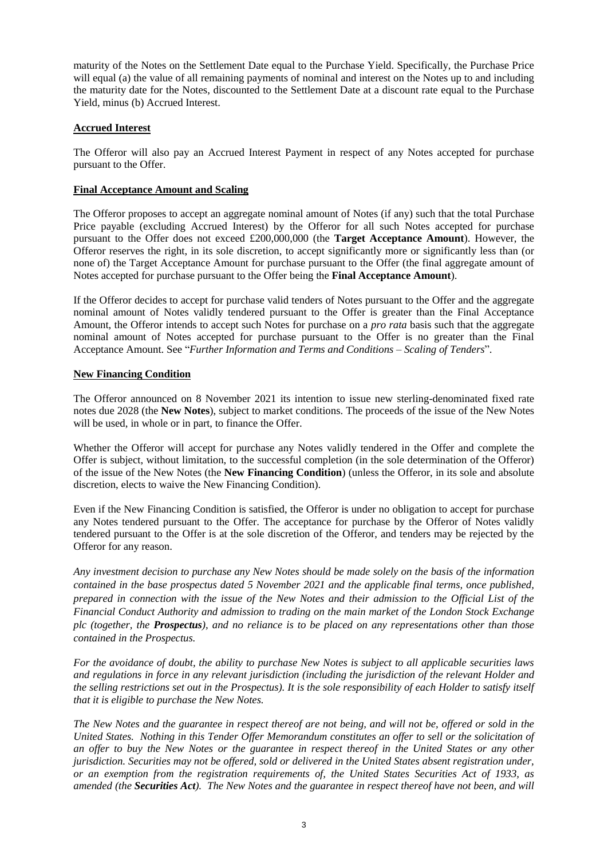maturity of the Notes on the Settlement Date equal to the Purchase Yield. Specifically, the Purchase Price will equal (a) the value of all remaining payments of nominal and interest on the Notes up to and including the maturity date for the Notes, discounted to the Settlement Date at a discount rate equal to the Purchase Yield, minus (b) Accrued Interest.

# **Accrued Interest**

The Offeror will also pay an Accrued Interest Payment in respect of any Notes accepted for purchase pursuant to the Offer.

# **Final Acceptance Amount and Scaling**

The Offeror proposes to accept an aggregate nominal amount of Notes (if any) such that the total Purchase Price payable (excluding Accrued Interest) by the Offeror for all such Notes accepted for purchase pursuant to the Offer does not exceed £200,000,000 (the **Target Acceptance Amount**). However, the Offeror reserves the right, in its sole discretion, to accept significantly more or significantly less than (or none of) the Target Acceptance Amount for purchase pursuant to the Offer (the final aggregate amount of Notes accepted for purchase pursuant to the Offer being the **Final Acceptance Amount**).

If the Offeror decides to accept for purchase valid tenders of Notes pursuant to the Offer and the aggregate nominal amount of Notes validly tendered pursuant to the Offer is greater than the Final Acceptance Amount, the Offeror intends to accept such Notes for purchase on a *pro rata* basis such that the aggregate nominal amount of Notes accepted for purchase pursuant to the Offer is no greater than the Final Acceptance Amount. See "*Further Information and Terms and Conditions – Scaling of Tenders*".

# **New Financing Condition**

The Offeror announced on 8 November 2021 its intention to issue new sterling-denominated fixed rate notes due 2028 (the **New Notes**), subject to market conditions. The proceeds of the issue of the New Notes will be used, in whole or in part, to finance the Offer.

Whether the Offeror will accept for purchase any Notes validly tendered in the Offer and complete the Offer is subject, without limitation, to the successful completion (in the sole determination of the Offeror) of the issue of the New Notes (the **New Financing Condition**) (unless the Offeror, in its sole and absolute discretion, elects to waive the New Financing Condition).

Even if the New Financing Condition is satisfied, the Offeror is under no obligation to accept for purchase any Notes tendered pursuant to the Offer. The acceptance for purchase by the Offeror of Notes validly tendered pursuant to the Offer is at the sole discretion of the Offeror, and tenders may be rejected by the Offeror for any reason.

*Any investment decision to purchase any New Notes should be made solely on the basis of the information contained in the base prospectus dated 5 November 2021 and the applicable final terms, once published, prepared in connection with the issue of the New Notes and their admission to the Official List of the Financial Conduct Authority and admission to trading on the main market of the London Stock Exchange plc (together, the Prospectus), and no reliance is to be placed on any representations other than those contained in the Prospectus.* 

*For the avoidance of doubt, the ability to purchase New Notes is subject to all applicable securities laws and regulations in force in any relevant jurisdiction (including the jurisdiction of the relevant Holder and the selling restrictions set out in the Prospectus). It is the sole responsibility of each Holder to satisfy itself that it is eligible to purchase the New Notes.*

*The New Notes and the guarantee in respect thereof are not being, and will not be, offered or sold in the United States. Nothing in this Tender Offer Memorandum constitutes an offer to sell or the solicitation of an offer to buy the New Notes or the guarantee in respect thereof in the United States or any other jurisdiction. Securities may not be offered, sold or delivered in the United States absent registration under, or an exemption from the registration requirements of, the United States Securities Act of 1933, as amended (the Securities Act). The New Notes and the guarantee in respect thereof have not been, and will*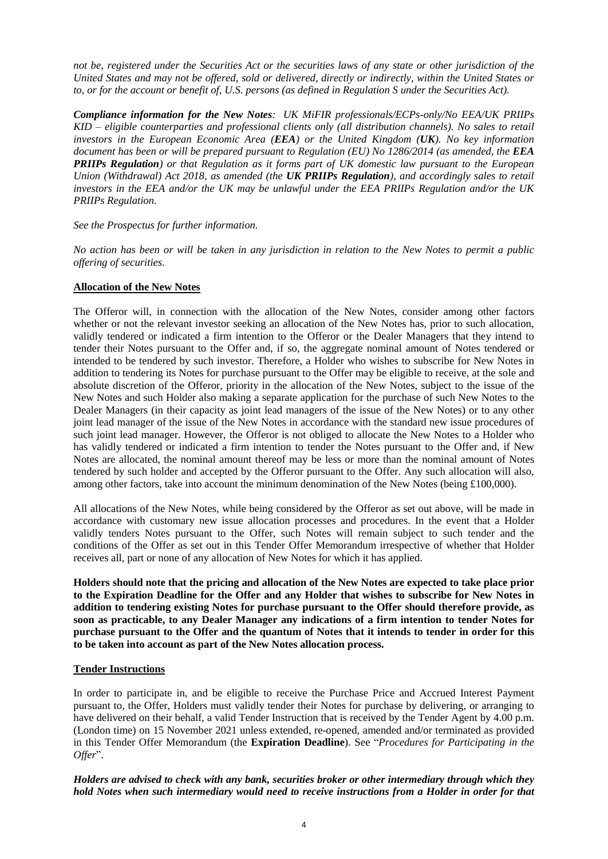*not be, registered under the Securities Act or the securities laws of any state or other jurisdiction of the United States and may not be offered, sold or delivered, directly or indirectly, within the United States or to, or for the account or benefit of, U.S. persons (as defined in Regulation S under the Securities Act).*

*Compliance information for the New Notes: UK MiFIR professionals/ECPs-only/No EEA/UK PRIIPs KID – eligible counterparties and professional clients only (all distribution channels). No sales to retail investors in the European Economic Area (EEA) or the United Kingdom (UK). No key information document has been or will be prepared pursuant to Regulation (EU) No 1286/2014 (as amended, the EEA PRIIPs Regulation) or that Regulation as it forms part of UK domestic law pursuant to the European Union (Withdrawal) Act 2018, as amended (the UK PRIIPs Regulation), and accordingly sales to retail investors in the EEA and/or the UK may be unlawful under the EEA PRIIPs Regulation and/or the UK PRIIPs Regulation.*

*See the Prospectus for further information.*

*No action has been or will be taken in any jurisdiction in relation to the New Notes to permit a public offering of securities.*

# **Allocation of the New Notes**

The Offeror will, in connection with the allocation of the New Notes, consider among other factors whether or not the relevant investor seeking an allocation of the New Notes has, prior to such allocation, validly tendered or indicated a firm intention to the Offeror or the Dealer Managers that they intend to tender their Notes pursuant to the Offer and, if so, the aggregate nominal amount of Notes tendered or intended to be tendered by such investor. Therefore, a Holder who wishes to subscribe for New Notes in addition to tendering its Notes for purchase pursuant to the Offer may be eligible to receive, at the sole and absolute discretion of the Offeror, priority in the allocation of the New Notes, subject to the issue of the New Notes and such Holder also making a separate application for the purchase of such New Notes to the Dealer Managers (in their capacity as joint lead managers of the issue of the New Notes) or to any other joint lead manager of the issue of the New Notes in accordance with the standard new issue procedures of such joint lead manager. However, the Offeror is not obliged to allocate the New Notes to a Holder who has validly tendered or indicated a firm intention to tender the Notes pursuant to the Offer and, if New Notes are allocated, the nominal amount thereof may be less or more than the nominal amount of Notes tendered by such holder and accepted by the Offeror pursuant to the Offer. Any such allocation will also, among other factors, take into account the minimum denomination of the New Notes (being £100,000).

All allocations of the New Notes, while being considered by the Offeror as set out above, will be made in accordance with customary new issue allocation processes and procedures. In the event that a Holder validly tenders Notes pursuant to the Offer, such Notes will remain subject to such tender and the conditions of the Offer as set out in this Tender Offer Memorandum irrespective of whether that Holder receives all, part or none of any allocation of New Notes for which it has applied.

**Holders should note that the pricing and allocation of the New Notes are expected to take place prior to the Expiration Deadline for the Offer and any Holder that wishes to subscribe for New Notes in addition to tendering existing Notes for purchase pursuant to the Offer should therefore provide, as soon as practicable, to any Dealer Manager any indications of a firm intention to tender Notes for purchase pursuant to the Offer and the quantum of Notes that it intends to tender in order for this to be taken into account as part of the New Notes allocation process.**

# **Tender Instructions**

In order to participate in, and be eligible to receive the Purchase Price and Accrued Interest Payment pursuant to, the Offer, Holders must validly tender their Notes for purchase by delivering, or arranging to have delivered on their behalf, a valid Tender Instruction that is received by the Tender Agent by 4.00 p.m. (London time) on 15 November 2021 unless extended, re-opened, amended and/or terminated as provided in this Tender Offer Memorandum (the **Expiration Deadline**). See "*Procedures for Participating in the Offer*".

*Holders are advised to check with any bank, securities broker or other intermediary through which they hold Notes when such intermediary would need to receive instructions from a Holder in order for that*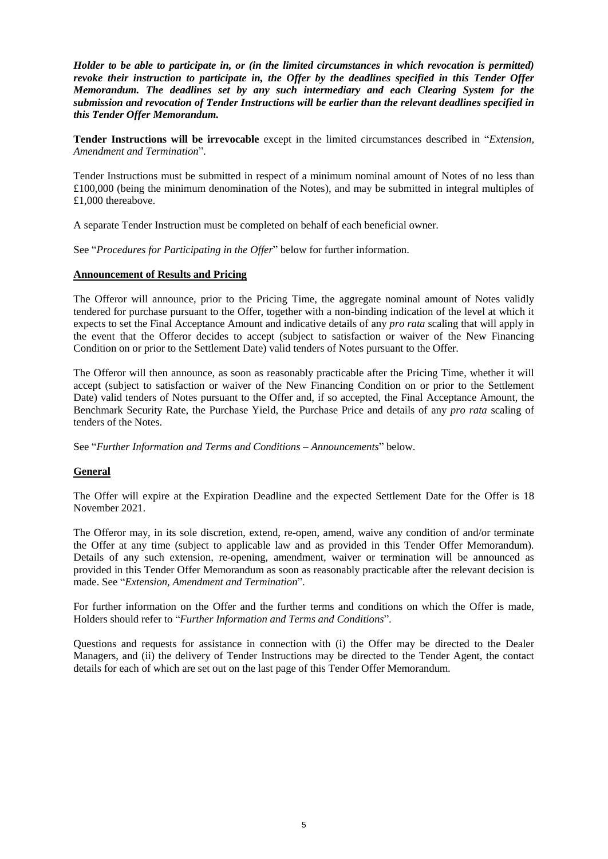*Holder to be able to participate in, or (in the limited circumstances in which revocation is permitted) revoke their instruction to participate in, the Offer by the deadlines specified in this Tender Offer Memorandum. The deadlines set by any such intermediary and each Clearing System for the submission and revocation of Tender Instructions will be earlier than the relevant deadlines specified in this Tender Offer Memorandum.*

**Tender Instructions will be irrevocable** except in the limited circumstances described in "*Extension, Amendment and Termination*".

Tender Instructions must be submitted in respect of a minimum nominal amount of Notes of no less than  $£100,000$  (being the minimum denomination of the Notes), and may be submitted in integral multiples of £1,000 thereabove.

A separate Tender Instruction must be completed on behalf of each beneficial owner.

See "*Procedures for Participating in the Offer*" below for further information.

# **Announcement of Results and Pricing**

The Offeror will announce, prior to the Pricing Time, the aggregate nominal amount of Notes validly tendered for purchase pursuant to the Offer, together with a non-binding indication of the level at which it expects to set the Final Acceptance Amount and indicative details of any *pro rata* scaling that will apply in the event that the Offeror decides to accept (subject to satisfaction or waiver of the New Financing Condition on or prior to the Settlement Date) valid tenders of Notes pursuant to the Offer.

The Offeror will then announce, as soon as reasonably practicable after the Pricing Time, whether it will accept (subject to satisfaction or waiver of the New Financing Condition on or prior to the Settlement Date) valid tenders of Notes pursuant to the Offer and, if so accepted, the Final Acceptance Amount, the Benchmark Security Rate, the Purchase Yield, the Purchase Price and details of any *pro rata* scaling of tenders of the Notes.

See "*Further Information and Terms and Conditions – Announcements*" below.

# **General**

The Offer will expire at the Expiration Deadline and the expected Settlement Date for the Offer is 18 November 2021.

The Offeror may, in its sole discretion, extend, re-open, amend, waive any condition of and/or terminate the Offer at any time (subject to applicable law and as provided in this Tender Offer Memorandum). Details of any such extension, re-opening, amendment, waiver or termination will be announced as provided in this Tender Offer Memorandum as soon as reasonably practicable after the relevant decision is made. See "*Extension, Amendment and Termination*".

For further information on the Offer and the further terms and conditions on which the Offer is made, Holders should refer to "*Further Information and Terms and Conditions*".

Questions and requests for assistance in connection with (i) the Offer may be directed to the Dealer Managers, and (ii) the delivery of Tender Instructions may be directed to the Tender Agent, the contact details for each of which are set out on the last page of this Tender Offer Memorandum.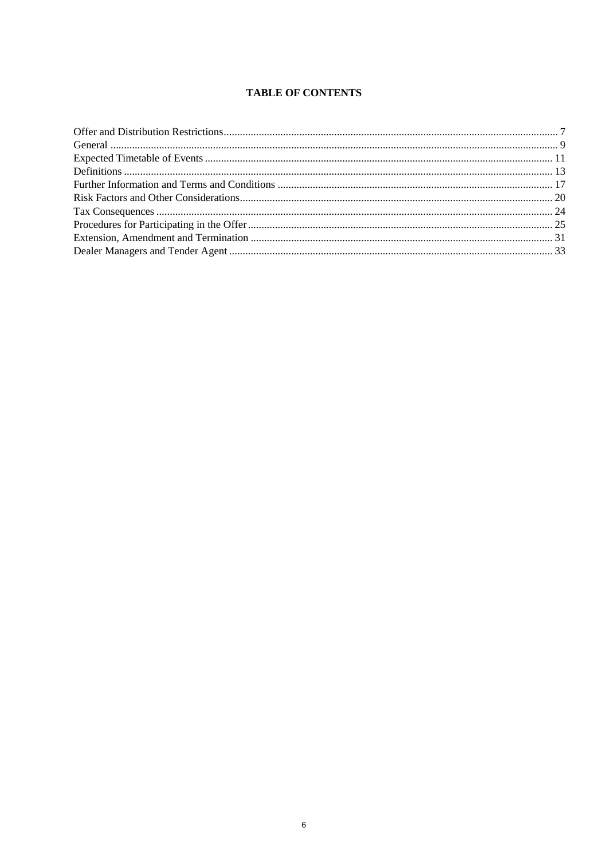# **TABLE OF CONTENTS**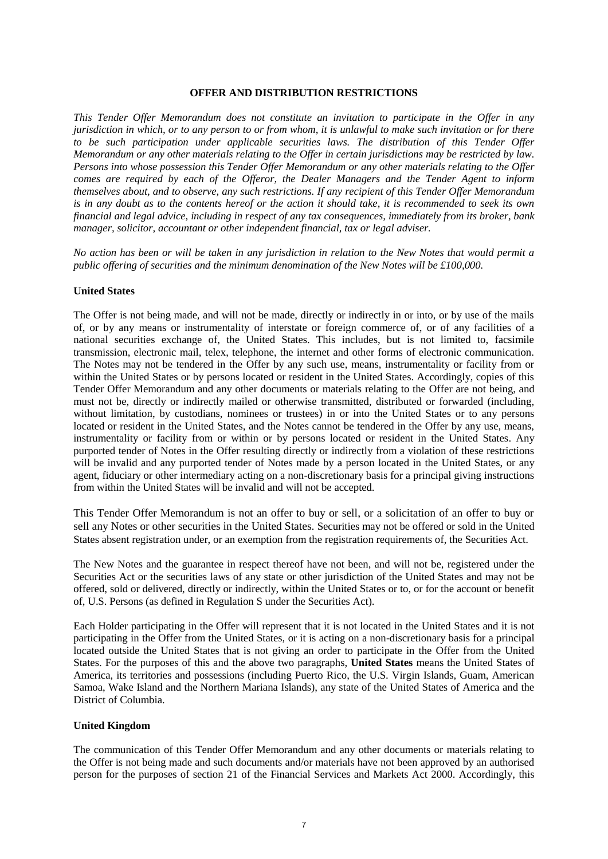#### **OFFER AND DISTRIBUTION RESTRICTIONS**

*This Tender Offer Memorandum does not constitute an invitation to participate in the Offer in any jurisdiction in which, or to any person to or from whom, it is unlawful to make such invitation or for there to be such participation under applicable securities laws. The distribution of this Tender Offer Memorandum or any other materials relating to the Offer in certain jurisdictions may be restricted by law. Persons into whose possession this Tender Offer Memorandum or any other materials relating to the Offer comes are required by each of the Offeror, the Dealer Managers and the Tender Agent to inform themselves about, and to observe, any such restrictions. If any recipient of this Tender Offer Memorandum is in any doubt as to the contents hereof or the action it should take, it is recommended to seek its own financial and legal advice, including in respect of any tax consequences, immediately from its broker, bank manager, solicitor, accountant or other independent financial, tax or legal adviser.*

*No action has been or will be taken in any jurisdiction in relation to the New Notes that would permit a public offering of securities and the minimum denomination of the New Notes will be £100,000.*

#### **United States**

The Offer is not being made, and will not be made, directly or indirectly in or into, or by use of the mails of, or by any means or instrumentality of interstate or foreign commerce of, or of any facilities of a national securities exchange of, the United States. This includes, but is not limited to, facsimile transmission, electronic mail, telex, telephone, the internet and other forms of electronic communication. The Notes may not be tendered in the Offer by any such use, means, instrumentality or facility from or within the United States or by persons located or resident in the United States. Accordingly, copies of this Tender Offer Memorandum and any other documents or materials relating to the Offer are not being, and must not be, directly or indirectly mailed or otherwise transmitted, distributed or forwarded (including, without limitation, by custodians, nominees or trustees) in or into the United States or to any persons located or resident in the United States, and the Notes cannot be tendered in the Offer by any use, means, instrumentality or facility from or within or by persons located or resident in the United States. Any purported tender of Notes in the Offer resulting directly or indirectly from a violation of these restrictions will be invalid and any purported tender of Notes made by a person located in the United States, or any agent, fiduciary or other intermediary acting on a non-discretionary basis for a principal giving instructions from within the United States will be invalid and will not be accepted.

This Tender Offer Memorandum is not an offer to buy or sell, or a solicitation of an offer to buy or sell any Notes or other securities in the United States. Securities may not be offered or sold in the United States absent registration under, or an exemption from the registration requirements of, the Securities Act.

The New Notes and the guarantee in respect thereof have not been, and will not be, registered under the Securities Act or the securities laws of any state or other jurisdiction of the United States and may not be offered, sold or delivered, directly or indirectly, within the United States or to, or for the account or benefit of, U.S. Persons (as defined in Regulation S under the Securities Act).

Each Holder participating in the Offer will represent that it is not located in the United States and it is not participating in the Offer from the United States, or it is acting on a non-discretionary basis for a principal located outside the United States that is not giving an order to participate in the Offer from the United States. For the purposes of this and the above two paragraphs, **United States** means the United States of America, its territories and possessions (including Puerto Rico, the U.S. Virgin Islands, Guam, American Samoa, Wake Island and the Northern Mariana Islands), any state of the United States of America and the District of Columbia.

### **United Kingdom**

The communication of this Tender Offer Memorandum and any other documents or materials relating to the Offer is not being made and such documents and/or materials have not been approved by an authorised person for the purposes of section 21 of the Financial Services and Markets Act 2000. Accordingly, this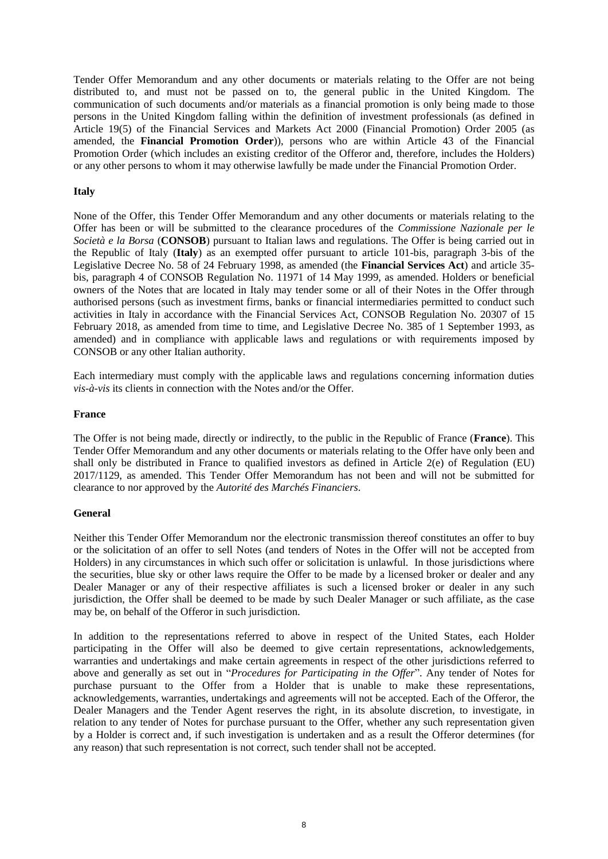Tender Offer Memorandum and any other documents or materials relating to the Offer are not being distributed to, and must not be passed on to, the general public in the United Kingdom. The communication of such documents and/or materials as a financial promotion is only being made to those persons in the United Kingdom falling within the definition of investment professionals (as defined in Article 19(5) of the Financial Services and Markets Act 2000 (Financial Promotion) Order 2005 (as amended, the **Financial Promotion Order**)), persons who are within Article 43 of the Financial Promotion Order (which includes an existing creditor of the Offeror and, therefore, includes the Holders) or any other persons to whom it may otherwise lawfully be made under the Financial Promotion Order.

# **Italy**

None of the Offer, this Tender Offer Memorandum and any other documents or materials relating to the Offer has been or will be submitted to the clearance procedures of the *Commissione Nazionale per le Società e la Borsa* (**CONSOB**) pursuant to Italian laws and regulations. The Offer is being carried out in the Republic of Italy (**Italy**) as an exempted offer pursuant to article 101-bis, paragraph 3-bis of the Legislative Decree No. 58 of 24 February 1998, as amended (the **Financial Services Act**) and article 35 bis, paragraph 4 of CONSOB Regulation No. 11971 of 14 May 1999, as amended. Holders or beneficial owners of the Notes that are located in Italy may tender some or all of their Notes in the Offer through authorised persons (such as investment firms, banks or financial intermediaries permitted to conduct such activities in Italy in accordance with the Financial Services Act, CONSOB Regulation No. 20307 of 15 February 2018, as amended from time to time, and Legislative Decree No. 385 of 1 September 1993, as amended) and in compliance with applicable laws and regulations or with requirements imposed by CONSOB or any other Italian authority.

Each intermediary must comply with the applicable laws and regulations concerning information duties *vis-à-vis* its clients in connection with the Notes and/or the Offer.

### **France**

The Offer is not being made, directly or indirectly, to the public in the Republic of France (**France**). This Tender Offer Memorandum and any other documents or materials relating to the Offer have only been and shall only be distributed in France to qualified investors as defined in Article 2(e) of Regulation (EU) 2017/1129, as amended. This Tender Offer Memorandum has not been and will not be submitted for clearance to nor approved by the *Autorité des Marchés Financiers*.

### **General**

Neither this Tender Offer Memorandum nor the electronic transmission thereof constitutes an offer to buy or the solicitation of an offer to sell Notes (and tenders of Notes in the Offer will not be accepted from Holders) in any circumstances in which such offer or solicitation is unlawful. In those jurisdictions where the securities, blue sky or other laws require the Offer to be made by a licensed broker or dealer and any Dealer Manager or any of their respective affiliates is such a licensed broker or dealer in any such jurisdiction, the Offer shall be deemed to be made by such Dealer Manager or such affiliate, as the case may be, on behalf of the Offeror in such jurisdiction.

In addition to the representations referred to above in respect of the United States, each Holder participating in the Offer will also be deemed to give certain representations, acknowledgements, warranties and undertakings and make certain agreements in respect of the other jurisdictions referred to above and generally as set out in "*Procedures for Participating in the Offer*". Any tender of Notes for purchase pursuant to the Offer from a Holder that is unable to make these representations, acknowledgements, warranties, undertakings and agreements will not be accepted. Each of the Offeror, the Dealer Managers and the Tender Agent reserves the right, in its absolute discretion, to investigate, in relation to any tender of Notes for purchase pursuant to the Offer, whether any such representation given by a Holder is correct and, if such investigation is undertaken and as a result the Offeror determines (for any reason) that such representation is not correct, such tender shall not be accepted.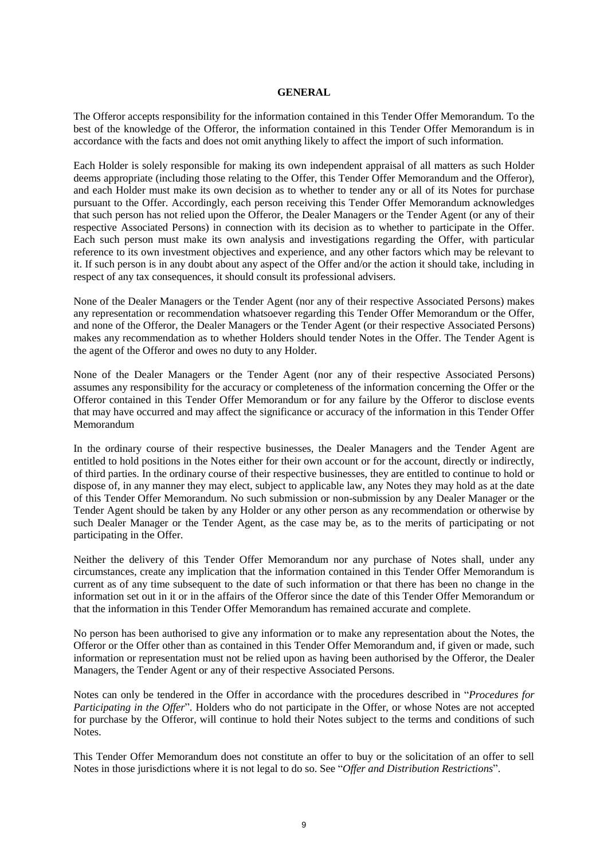#### **GENERAL**

The Offeror accepts responsibility for the information contained in this Tender Offer Memorandum. To the best of the knowledge of the Offeror, the information contained in this Tender Offer Memorandum is in accordance with the facts and does not omit anything likely to affect the import of such information.

Each Holder is solely responsible for making its own independent appraisal of all matters as such Holder deems appropriate (including those relating to the Offer, this Tender Offer Memorandum and the Offeror), and each Holder must make its own decision as to whether to tender any or all of its Notes for purchase pursuant to the Offer. Accordingly, each person receiving this Tender Offer Memorandum acknowledges that such person has not relied upon the Offeror, the Dealer Managers or the Tender Agent (or any of their respective Associated Persons) in connection with its decision as to whether to participate in the Offer. Each such person must make its own analysis and investigations regarding the Offer, with particular reference to its own investment objectives and experience, and any other factors which may be relevant to it. If such person is in any doubt about any aspect of the Offer and/or the action it should take, including in respect of any tax consequences, it should consult its professional advisers.

None of the Dealer Managers or the Tender Agent (nor any of their respective Associated Persons) makes any representation or recommendation whatsoever regarding this Tender Offer Memorandum or the Offer, and none of the Offeror, the Dealer Managers or the Tender Agent (or their respective Associated Persons) makes any recommendation as to whether Holders should tender Notes in the Offer. The Tender Agent is the agent of the Offeror and owes no duty to any Holder.

None of the Dealer Managers or the Tender Agent (nor any of their respective Associated Persons) assumes any responsibility for the accuracy or completeness of the information concerning the Offer or the Offeror contained in this Tender Offer Memorandum or for any failure by the Offeror to disclose events that may have occurred and may affect the significance or accuracy of the information in this Tender Offer Memorandum

In the ordinary course of their respective businesses, the Dealer Managers and the Tender Agent are entitled to hold positions in the Notes either for their own account or for the account, directly or indirectly, of third parties. In the ordinary course of their respective businesses, they are entitled to continue to hold or dispose of, in any manner they may elect, subject to applicable law, any Notes they may hold as at the date of this Tender Offer Memorandum. No such submission or non-submission by any Dealer Manager or the Tender Agent should be taken by any Holder or any other person as any recommendation or otherwise by such Dealer Manager or the Tender Agent, as the case may be, as to the merits of participating or not participating in the Offer.

Neither the delivery of this Tender Offer Memorandum nor any purchase of Notes shall, under any circumstances, create any implication that the information contained in this Tender Offer Memorandum is current as of any time subsequent to the date of such information or that there has been no change in the information set out in it or in the affairs of the Offeror since the date of this Tender Offer Memorandum or that the information in this Tender Offer Memorandum has remained accurate and complete.

No person has been authorised to give any information or to make any representation about the Notes, the Offeror or the Offer other than as contained in this Tender Offer Memorandum and, if given or made, such information or representation must not be relied upon as having been authorised by the Offeror, the Dealer Managers, the Tender Agent or any of their respective Associated Persons.

Notes can only be tendered in the Offer in accordance with the procedures described in "*Procedures for Participating in the Offer*". Holders who do not participate in the Offer, or whose Notes are not accepted for purchase by the Offeror, will continue to hold their Notes subject to the terms and conditions of such Notes.

This Tender Offer Memorandum does not constitute an offer to buy or the solicitation of an offer to sell Notes in those jurisdictions where it is not legal to do so. See "*Offer and Distribution Restrictions*".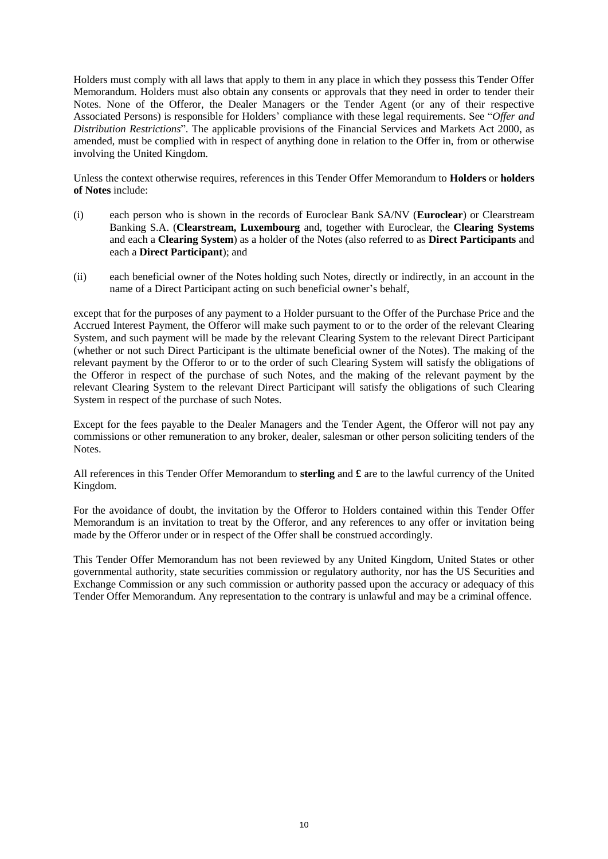Holders must comply with all laws that apply to them in any place in which they possess this Tender Offer Memorandum. Holders must also obtain any consents or approvals that they need in order to tender their Notes. None of the Offeror, the Dealer Managers or the Tender Agent (or any of their respective Associated Persons) is responsible for Holders' compliance with these legal requirements. See "*Offer and Distribution Restrictions*". The applicable provisions of the Financial Services and Markets Act 2000, as amended, must be complied with in respect of anything done in relation to the Offer in, from or otherwise involving the United Kingdom.

Unless the context otherwise requires, references in this Tender Offer Memorandum to **Holders** or **holders of Notes** include:

- (i) each person who is shown in the records of Euroclear Bank SA/NV (**Euroclear**) or Clearstream Banking S.A. (**Clearstream, Luxembourg** and, together with Euroclear, the **Clearing Systems** and each a **Clearing System**) as a holder of the Notes (also referred to as **Direct Participants** and each a **Direct Participant**); and
- (ii) each beneficial owner of the Notes holding such Notes, directly or indirectly, in an account in the name of a Direct Participant acting on such beneficial owner's behalf,

except that for the purposes of any payment to a Holder pursuant to the Offer of the Purchase Price and the Accrued Interest Payment, the Offeror will make such payment to or to the order of the relevant Clearing System, and such payment will be made by the relevant Clearing System to the relevant Direct Participant (whether or not such Direct Participant is the ultimate beneficial owner of the Notes). The making of the relevant payment by the Offeror to or to the order of such Clearing System will satisfy the obligations of the Offeror in respect of the purchase of such Notes, and the making of the relevant payment by the relevant Clearing System to the relevant Direct Participant will satisfy the obligations of such Clearing System in respect of the purchase of such Notes.

Except for the fees payable to the Dealer Managers and the Tender Agent, the Offeror will not pay any commissions or other remuneration to any broker, dealer, salesman or other person soliciting tenders of the Notes.

All references in this Tender Offer Memorandum to **sterling** and **£** are to the lawful currency of the United Kingdom.

For the avoidance of doubt, the invitation by the Offeror to Holders contained within this Tender Offer Memorandum is an invitation to treat by the Offeror, and any references to any offer or invitation being made by the Offeror under or in respect of the Offer shall be construed accordingly.

This Tender Offer Memorandum has not been reviewed by any United Kingdom, United States or other governmental authority, state securities commission or regulatory authority, nor has the US Securities and Exchange Commission or any such commission or authority passed upon the accuracy or adequacy of this Tender Offer Memorandum. Any representation to the contrary is unlawful and may be a criminal offence.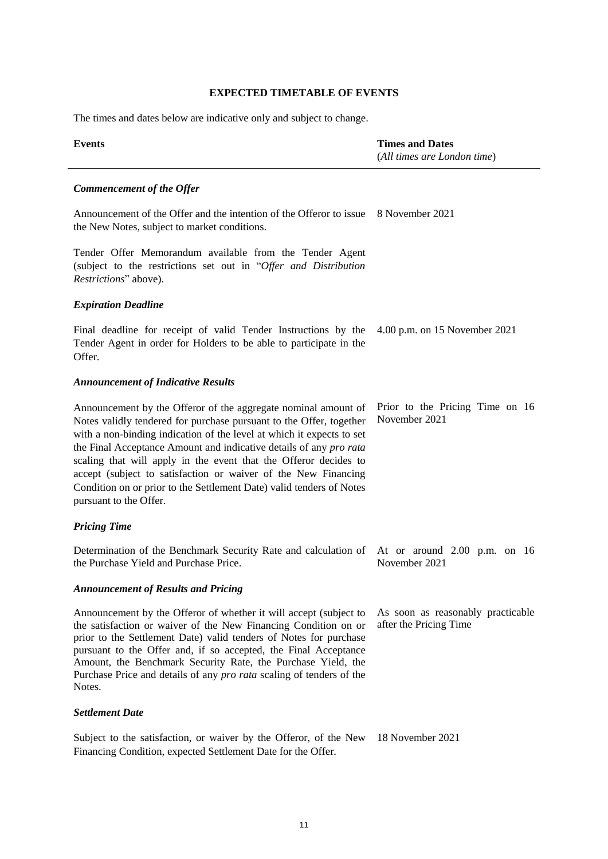# **EXPECTED TIMETABLE OF EVENTS**

The times and dates below are indicative only and subject to change.

| <b>Events</b>                                                                                                                                                                                                                                                                                                                                                                                                                                                                                                                | <b>Times and Dates</b><br>(All times are London time)       |
|------------------------------------------------------------------------------------------------------------------------------------------------------------------------------------------------------------------------------------------------------------------------------------------------------------------------------------------------------------------------------------------------------------------------------------------------------------------------------------------------------------------------------|-------------------------------------------------------------|
| Commencement of the Offer                                                                                                                                                                                                                                                                                                                                                                                                                                                                                                    |                                                             |
| Announcement of the Offer and the intention of the Offeror to issue 8 November 2021<br>the New Notes, subject to market conditions.                                                                                                                                                                                                                                                                                                                                                                                          |                                                             |
| Tender Offer Memorandum available from the Tender Agent<br>(subject to the restrictions set out in "Offer and Distribution")<br>Restrictions" above).                                                                                                                                                                                                                                                                                                                                                                        |                                                             |
| <b>Expiration Deadline</b>                                                                                                                                                                                                                                                                                                                                                                                                                                                                                                   |                                                             |
| Final deadline for receipt of valid Tender Instructions by the<br>Tender Agent in order for Holders to be able to participate in the<br>Offer.                                                                                                                                                                                                                                                                                                                                                                               | 4.00 p.m. on 15 November 2021                               |
| <b>Announcement of Indicative Results</b>                                                                                                                                                                                                                                                                                                                                                                                                                                                                                    |                                                             |
| Announcement by the Offeror of the aggregate nominal amount of<br>Notes validly tendered for purchase pursuant to the Offer, together<br>with a non-binding indication of the level at which it expects to set<br>the Final Acceptance Amount and indicative details of any pro rata<br>scaling that will apply in the event that the Offeror decides to<br>accept (subject to satisfaction or waiver of the New Financing<br>Condition on or prior to the Settlement Date) valid tenders of Notes<br>pursuant to the Offer. | Prior to the Pricing Time on 16<br>November 2021            |
| <b>Pricing Time</b>                                                                                                                                                                                                                                                                                                                                                                                                                                                                                                          |                                                             |
| Determination of the Benchmark Security Rate and calculation of At or around 2.00 p.m. on 16<br>the Purchase Yield and Purchase Price.                                                                                                                                                                                                                                                                                                                                                                                       | November 2021                                               |
| <b>Announcement of Results and Pricing</b>                                                                                                                                                                                                                                                                                                                                                                                                                                                                                   |                                                             |
| Announcement by the Offeror of whether it will accept (subject to<br>the satisfaction or waiver of the New Financing Condition on or<br>prior to the Settlement Date) valid tenders of Notes for purchase<br>pursuant to the Offer and, if so accepted, the Final Acceptance<br>Amount, the Benchmark Security Rate, the Purchase Yield, the<br>Purchase Price and details of any <i>pro rata</i> scaling of tenders of the<br>Notes.                                                                                        | As soon as reasonably practicable<br>after the Pricing Time |
| <b>Settlement Date</b>                                                                                                                                                                                                                                                                                                                                                                                                                                                                                                       |                                                             |
| Subject to the satisfaction, or waiver by the Offeror, of the New<br>Financing Condition, expected Settlement Date for the Offer.                                                                                                                                                                                                                                                                                                                                                                                            | 18 November 2021                                            |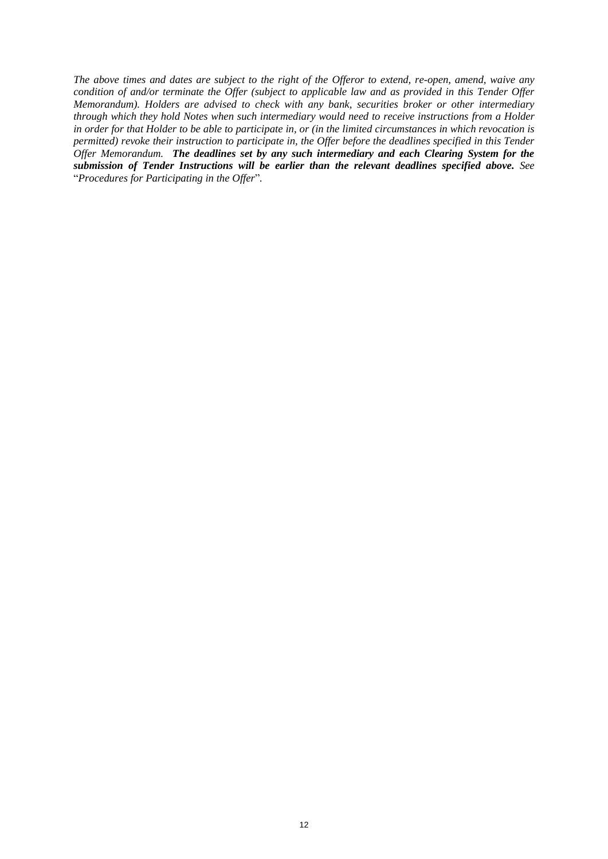*The above times and dates are subject to the right of the Offeror to extend, re-open, amend, waive any condition of and/or terminate the Offer (subject to applicable law and as provided in this Tender Offer Memorandum). Holders are advised to check with any bank, securities broker or other intermediary through which they hold Notes when such intermediary would need to receive instructions from a Holder in order for that Holder to be able to participate in, or (in the limited circumstances in which revocation is permitted) revoke their instruction to participate in, the Offer before the deadlines specified in this Tender Offer Memorandum. The deadlines set by any such intermediary and each Clearing System for the submission of Tender Instructions will be earlier than the relevant deadlines specified above. See*  "*Procedures for Participating in the Offer*"*.*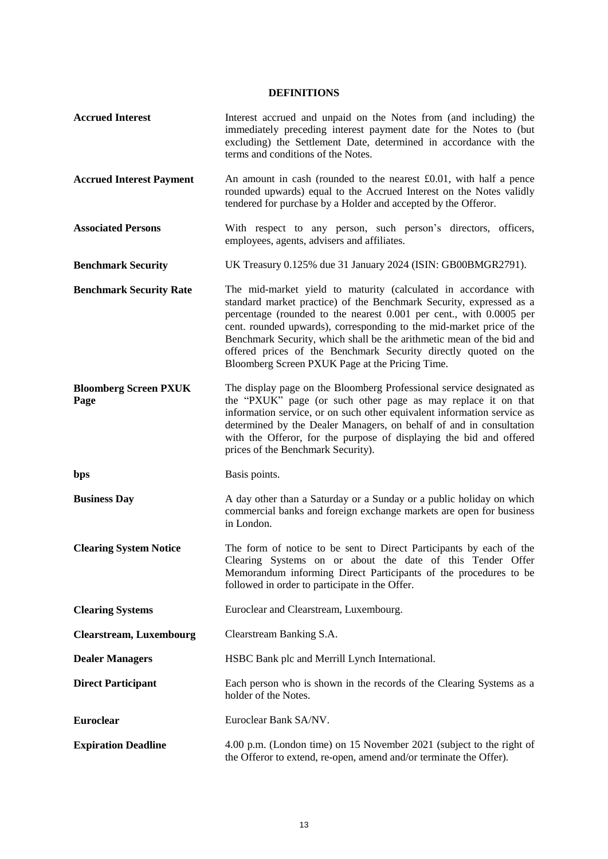# **DEFINITIONS**

| <b>Accrued Interest</b>              | Interest accrued and unpaid on the Notes from (and including) the<br>immediately preceding interest payment date for the Notes to (but<br>excluding) the Settlement Date, determined in accordance with the<br>terms and conditions of the Notes.                                                                                                                                                                                                                                    |
|--------------------------------------|--------------------------------------------------------------------------------------------------------------------------------------------------------------------------------------------------------------------------------------------------------------------------------------------------------------------------------------------------------------------------------------------------------------------------------------------------------------------------------------|
| <b>Accrued Interest Payment</b>      | An amount in cash (rounded to the nearest £0.01, with half a pence<br>rounded upwards) equal to the Accrued Interest on the Notes validly<br>tendered for purchase by a Holder and accepted by the Offeror.                                                                                                                                                                                                                                                                          |
| <b>Associated Persons</b>            | With respect to any person, such person's directors, officers,<br>employees, agents, advisers and affiliates.                                                                                                                                                                                                                                                                                                                                                                        |
| <b>Benchmark Security</b>            | UK Treasury 0.125% due 31 January 2024 (ISIN: GB00BMGR2791).                                                                                                                                                                                                                                                                                                                                                                                                                         |
| <b>Benchmark Security Rate</b>       | The mid-market yield to maturity (calculated in accordance with<br>standard market practice) of the Benchmark Security, expressed as a<br>percentage (rounded to the nearest 0.001 per cent., with 0.0005 per<br>cent. rounded upwards), corresponding to the mid-market price of the<br>Benchmark Security, which shall be the arithmetic mean of the bid and<br>offered prices of the Benchmark Security directly quoted on the<br>Bloomberg Screen PXUK Page at the Pricing Time. |
| <b>Bloomberg Screen PXUK</b><br>Page | The display page on the Bloomberg Professional service designated as<br>the "PXUK" page (or such other page as may replace it on that<br>information service, or on such other equivalent information service as<br>determined by the Dealer Managers, on behalf of and in consultation<br>with the Offeror, for the purpose of displaying the bid and offered<br>prices of the Benchmark Security).                                                                                 |
| bps                                  | Basis points.                                                                                                                                                                                                                                                                                                                                                                                                                                                                        |
| <b>Business Day</b>                  | A day other than a Saturday or a Sunday or a public holiday on which<br>commercial banks and foreign exchange markets are open for business<br>in London.                                                                                                                                                                                                                                                                                                                            |
| <b>Clearing System Notice</b>        | The form of notice to be sent to Direct Participants by each of the<br>Clearing Systems on or about the date of this Tender Offer<br>Memorandum informing Direct Participants of the procedures to be<br>followed in order to participate in the Offer.                                                                                                                                                                                                                              |
| <b>Clearing Systems</b>              | Euroclear and Clearstream, Luxembourg.                                                                                                                                                                                                                                                                                                                                                                                                                                               |
| <b>Clearstream, Luxembourg</b>       | Clearstream Banking S.A.                                                                                                                                                                                                                                                                                                                                                                                                                                                             |
| <b>Dealer Managers</b>               | HSBC Bank plc and Merrill Lynch International.                                                                                                                                                                                                                                                                                                                                                                                                                                       |
| <b>Direct Participant</b>            | Each person who is shown in the records of the Clearing Systems as a<br>holder of the Notes.                                                                                                                                                                                                                                                                                                                                                                                         |
| Euroclear                            | Euroclear Bank SA/NV.                                                                                                                                                                                                                                                                                                                                                                                                                                                                |
| <b>Expiration Deadline</b>           | 4.00 p.m. (London time) on 15 November 2021 (subject to the right of<br>the Offeror to extend, re-open, amend and/or terminate the Offer).                                                                                                                                                                                                                                                                                                                                           |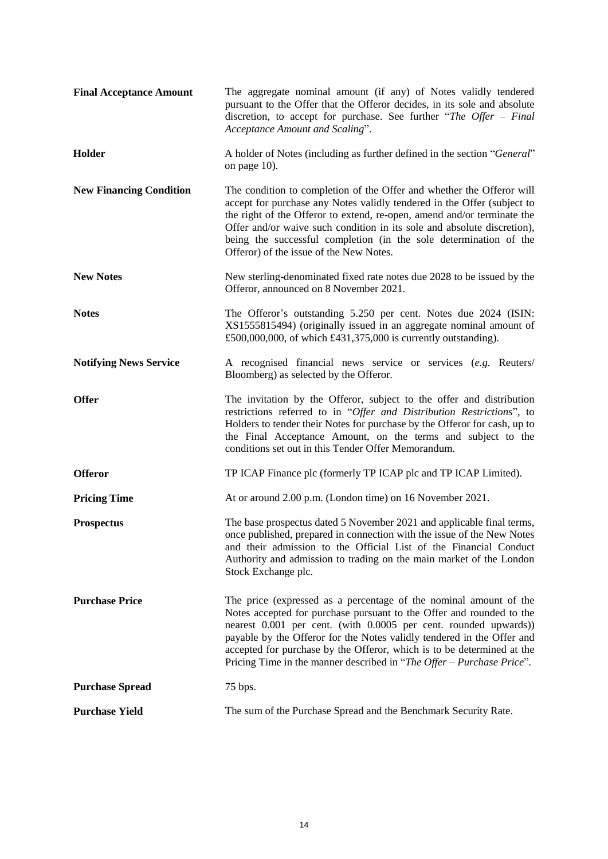| <b>Final Acceptance Amount</b> | The aggregate nominal amount (if any) of Notes validly tendered<br>pursuant to the Offer that the Offeror decides, in its sole and absolute<br>discretion, to accept for purchase. See further "The Offer $-$ Final<br>Acceptance Amount and Scaling".                                                                                                                                                                                     |
|--------------------------------|--------------------------------------------------------------------------------------------------------------------------------------------------------------------------------------------------------------------------------------------------------------------------------------------------------------------------------------------------------------------------------------------------------------------------------------------|
| Holder                         | A holder of Notes (including as further defined in the section "General"<br>on page $10$ ).                                                                                                                                                                                                                                                                                                                                                |
| <b>New Financing Condition</b> | The condition to completion of the Offer and whether the Offeror will<br>accept for purchase any Notes validly tendered in the Offer (subject to<br>the right of the Offeror to extend, re-open, amend and/or terminate the<br>Offer and/or waive such condition in its sole and absolute discretion),<br>being the successful completion (in the sole determination of the<br>Offeror) of the issue of the New Notes.                     |
| <b>New Notes</b>               | New sterling-denominated fixed rate notes due 2028 to be issued by the<br>Offeror, announced on 8 November 2021.                                                                                                                                                                                                                                                                                                                           |
| <b>Notes</b>                   | The Offeror's outstanding 5.250 per cent. Notes due 2024 (ISIN:<br>XS1555815494) (originally issued in an aggregate nominal amount of<br>£500,000,000, of which £431,375,000 is currently outstanding).                                                                                                                                                                                                                                    |
| <b>Notifying News Service</b>  | A recognised financial news service or services (e.g. Reuters/<br>Bloomberg) as selected by the Offeror.                                                                                                                                                                                                                                                                                                                                   |
| <b>Offer</b>                   | The invitation by the Offeror, subject to the offer and distribution<br>restrictions referred to in "Offer and Distribution Restrictions", to<br>Holders to tender their Notes for purchase by the Offeror for cash, up to<br>the Final Acceptance Amount, on the terms and subject to the<br>conditions set out in this Tender Offer Memorandum.                                                                                          |
| <b>Offeror</b>                 | TP ICAP Finance plc (formerly TP ICAP plc and TP ICAP Limited).                                                                                                                                                                                                                                                                                                                                                                            |
| <b>Pricing Time</b>            | At or around 2.00 p.m. (London time) on 16 November 2021.                                                                                                                                                                                                                                                                                                                                                                                  |
| <b>Prospectus</b>              | The base prospectus dated 5 November 2021 and applicable final terms,<br>once published, prepared in connection with the issue of the New Notes<br>and their admission to the Official List of the Financial Conduct<br>Authority and admission to trading on the main market of the London<br>Stock Exchange plc.                                                                                                                         |
| <b>Purchase Price</b>          | The price (expressed as a percentage of the nominal amount of the<br>Notes accepted for purchase pursuant to the Offer and rounded to the<br>nearest 0.001 per cent. (with 0.0005 per cent. rounded upwards))<br>payable by the Offeror for the Notes validly tendered in the Offer and<br>accepted for purchase by the Offeror, which is to be determined at the<br>Pricing Time in the manner described in "The Offer - Purchase Price". |
| <b>Purchase Spread</b>         | 75 bps.                                                                                                                                                                                                                                                                                                                                                                                                                                    |
| <b>Purchase Yield</b>          | The sum of the Purchase Spread and the Benchmark Security Rate.                                                                                                                                                                                                                                                                                                                                                                            |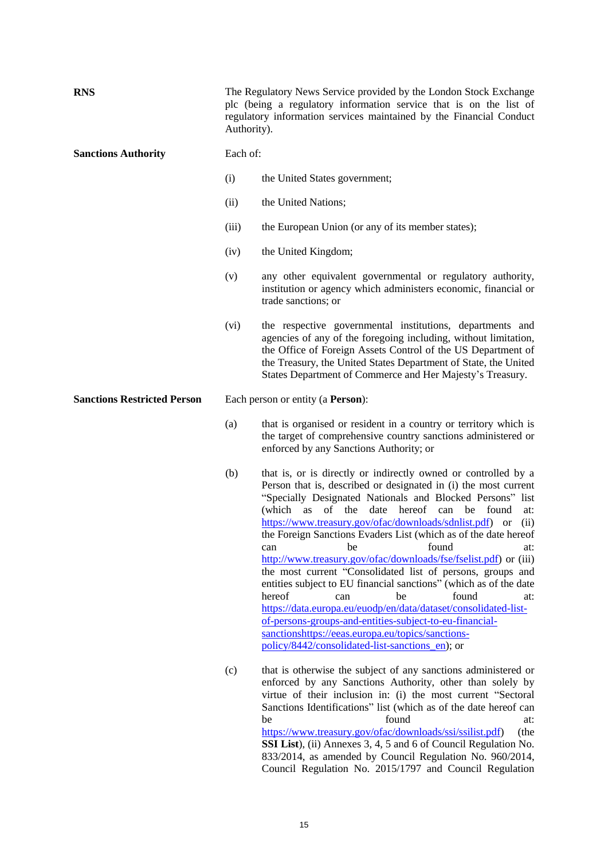| <b>RNS</b>                         | The Regulatory News Service provided by the London Stock Exchange<br>plc (being a regulatory information service that is on the list of<br>regulatory information services maintained by the Financial Conduct<br>Authority). |                                                                                                                                                                                                                                                                                                                                                                                                                                                                                                                                                                                                                                                                                                                                                                                                                                                                                                                                           |
|------------------------------------|-------------------------------------------------------------------------------------------------------------------------------------------------------------------------------------------------------------------------------|-------------------------------------------------------------------------------------------------------------------------------------------------------------------------------------------------------------------------------------------------------------------------------------------------------------------------------------------------------------------------------------------------------------------------------------------------------------------------------------------------------------------------------------------------------------------------------------------------------------------------------------------------------------------------------------------------------------------------------------------------------------------------------------------------------------------------------------------------------------------------------------------------------------------------------------------|
| <b>Sanctions Authority</b>         | Each of:                                                                                                                                                                                                                      |                                                                                                                                                                                                                                                                                                                                                                                                                                                                                                                                                                                                                                                                                                                                                                                                                                                                                                                                           |
|                                    | (i)                                                                                                                                                                                                                           | the United States government;                                                                                                                                                                                                                                                                                                                                                                                                                                                                                                                                                                                                                                                                                                                                                                                                                                                                                                             |
|                                    | (ii)                                                                                                                                                                                                                          | the United Nations;                                                                                                                                                                                                                                                                                                                                                                                                                                                                                                                                                                                                                                                                                                                                                                                                                                                                                                                       |
|                                    | (iii)                                                                                                                                                                                                                         | the European Union (or any of its member states);                                                                                                                                                                                                                                                                                                                                                                                                                                                                                                                                                                                                                                                                                                                                                                                                                                                                                         |
|                                    | (iv)                                                                                                                                                                                                                          | the United Kingdom;                                                                                                                                                                                                                                                                                                                                                                                                                                                                                                                                                                                                                                                                                                                                                                                                                                                                                                                       |
|                                    | (v)                                                                                                                                                                                                                           | any other equivalent governmental or regulatory authority,<br>institution or agency which administers economic, financial or<br>trade sanctions; or                                                                                                                                                                                                                                                                                                                                                                                                                                                                                                                                                                                                                                                                                                                                                                                       |
|                                    | (vi)                                                                                                                                                                                                                          | the respective governmental institutions, departments and<br>agencies of any of the foregoing including, without limitation,<br>the Office of Foreign Assets Control of the US Department of<br>the Treasury, the United States Department of State, the United<br>States Department of Commerce and Her Majesty's Treasury.                                                                                                                                                                                                                                                                                                                                                                                                                                                                                                                                                                                                              |
| <b>Sanctions Restricted Person</b> | Each person or entity (a <b>Person</b> ):                                                                                                                                                                                     |                                                                                                                                                                                                                                                                                                                                                                                                                                                                                                                                                                                                                                                                                                                                                                                                                                                                                                                                           |
|                                    | (a)                                                                                                                                                                                                                           | that is organised or resident in a country or territory which is<br>the target of comprehensive country sanctions administered or<br>enforced by any Sanctions Authority; or                                                                                                                                                                                                                                                                                                                                                                                                                                                                                                                                                                                                                                                                                                                                                              |
|                                    | (b)                                                                                                                                                                                                                           | that is, or is directly or indirectly owned or controlled by a<br>Person that is, described or designated in (i) the most current<br>"Specially Designated Nationals and Blocked Persons" list<br>(which)<br>as<br>of the<br>date<br>hereof<br>can<br>be<br>found<br>at:<br>https://www.treasury.gov/ofac/downloads/sdnlist.pdf)<br><b>or</b><br>(ii)<br>the Foreign Sanctions Evaders List (which as of the date hereof<br>found<br>be<br>at:<br>can<br>http://www.treasury.gov/ofac/downloads/fse/fselist.pdf) or (iii)<br>the most current "Consolidated list of persons, groups and<br>entities subject to EU financial sanctions" (which as of the date<br>hereof<br>found<br>be<br>can<br>at:<br>https://data.europa.eu/euodp/en/data/dataset/consolidated-list-<br>of-persons-groups-and-entities-subject-to-eu-financial-<br>sanctionshttps://eeas.europa.eu/topics/sanctions-<br>policy/8442/consolidated-list-sanctions_en); or |
|                                    | (c)                                                                                                                                                                                                                           | that is otherwise the subject of any sanctions administered or<br>enforced by any Sanctions Authority, other than solely by<br>virtue of their inclusion in: (i) the most current "Sectoral<br>Sanctions Identifications" list (which as of the date hereof can<br>found<br>be<br>at:<br>https://www.treasury.gov/ofac/downloads/ssi/ssilist.pdf)<br>(the<br><b>SSI List</b> ), (ii) Annexes 3, 4, 5 and 6 of Council Regulation No.<br>833/2014, as amended by Council Regulation No. 960/2014,<br>Council Regulation No. 2015/1797 and Council Regulation                                                                                                                                                                                                                                                                                                                                                                               |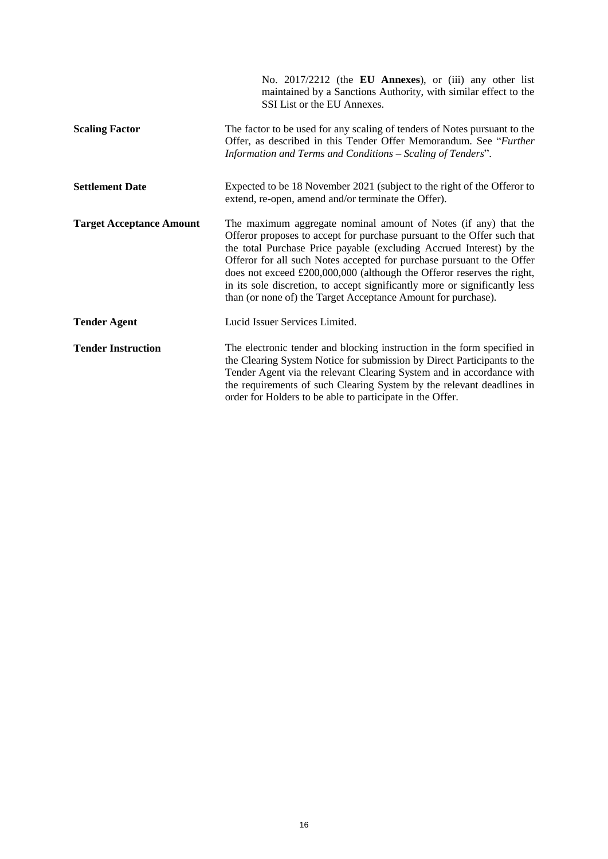|                                 | No. 2017/2212 (the EU Annexes), or (iii) any other list<br>maintained by a Sanctions Authority, with similar effect to the<br>SSI List or the EU Annexes.                                                                                                                                                                                                                                                                                                                                                             |  |  |
|---------------------------------|-----------------------------------------------------------------------------------------------------------------------------------------------------------------------------------------------------------------------------------------------------------------------------------------------------------------------------------------------------------------------------------------------------------------------------------------------------------------------------------------------------------------------|--|--|
| <b>Scaling Factor</b>           | The factor to be used for any scaling of tenders of Notes pursuant to the<br>Offer, as described in this Tender Offer Memorandum. See "Further"<br>Information and Terms and Conditions - Scaling of Tenders".                                                                                                                                                                                                                                                                                                        |  |  |
| <b>Settlement Date</b>          | Expected to be 18 November 2021 (subject to the right of the Offeror to<br>extend, re-open, amend and/or terminate the Offer).                                                                                                                                                                                                                                                                                                                                                                                        |  |  |
| <b>Target Acceptance Amount</b> | The maximum aggregate nominal amount of Notes (if any) that the<br>Offeror proposes to accept for purchase pursuant to the Offer such that<br>the total Purchase Price payable (excluding Accrued Interest) by the<br>Offeror for all such Notes accepted for purchase pursuant to the Offer<br>does not exceed £200,000,000 (although the Offeror reserves the right,<br>in its sole discretion, to accept significantly more or significantly less<br>than (or none of) the Target Acceptance Amount for purchase). |  |  |
| <b>Tender Agent</b>             | Lucid Issuer Services Limited.                                                                                                                                                                                                                                                                                                                                                                                                                                                                                        |  |  |
| <b>Tender Instruction</b>       | The electronic tender and blocking instruction in the form specified in<br>the Clearing System Notice for submission by Direct Participants to the<br>Tender Agent via the relevant Clearing System and in accordance with<br>the requirements of such Clearing System by the relevant deadlines in<br>order for Holders to be able to participate in the Offer.                                                                                                                                                      |  |  |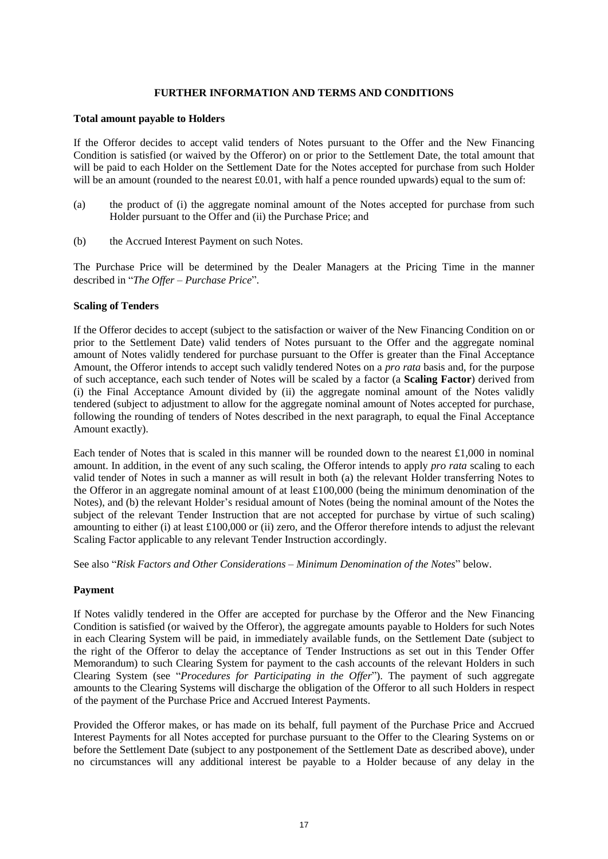# **FURTHER INFORMATION AND TERMS AND CONDITIONS**

#### **Total amount payable to Holders**

If the Offeror decides to accept valid tenders of Notes pursuant to the Offer and the New Financing Condition is satisfied (or waived by the Offeror) on or prior to the Settlement Date, the total amount that will be paid to each Holder on the Settlement Date for the Notes accepted for purchase from such Holder will be an amount (rounded to the nearest  $\text{\pounds}0.01$ , with half a pence rounded upwards) equal to the sum of:

- (a) the product of (i) the aggregate nominal amount of the Notes accepted for purchase from such Holder pursuant to the Offer and (ii) the Purchase Price; and
- (b) the Accrued Interest Payment on such Notes.

The Purchase Price will be determined by the Dealer Managers at the Pricing Time in the manner described in "*The Offer – Purchase Price*".

# **Scaling of Tenders**

If the Offeror decides to accept (subject to the satisfaction or waiver of the New Financing Condition on or prior to the Settlement Date) valid tenders of Notes pursuant to the Offer and the aggregate nominal amount of Notes validly tendered for purchase pursuant to the Offer is greater than the Final Acceptance Amount, the Offeror intends to accept such validly tendered Notes on a *pro rata* basis and, for the purpose of such acceptance, each such tender of Notes will be scaled by a factor (a **Scaling Factor**) derived from (i) the Final Acceptance Amount divided by (ii) the aggregate nominal amount of the Notes validly tendered (subject to adjustment to allow for the aggregate nominal amount of Notes accepted for purchase, following the rounding of tenders of Notes described in the next paragraph, to equal the Final Acceptance Amount exactly).

Each tender of Notes that is scaled in this manner will be rounded down to the nearest £1,000 in nominal amount. In addition, in the event of any such scaling, the Offeror intends to apply *pro rata* scaling to each valid tender of Notes in such a manner as will result in both (a) the relevant Holder transferring Notes to the Offeror in an aggregate nominal amount of at least £100,000 (being the minimum denomination of the Notes), and (b) the relevant Holder's residual amount of Notes (being the nominal amount of the Notes the subject of the relevant Tender Instruction that are not accepted for purchase by virtue of such scaling) amounting to either (i) at least £100,000 or (ii) zero, and the Offeror therefore intends to adjust the relevant Scaling Factor applicable to any relevant Tender Instruction accordingly.

See also "*Risk Factors and Other Considerations – Minimum Denomination of the Notes*" below.

### **Payment**

If Notes validly tendered in the Offer are accepted for purchase by the Offeror and the New Financing Condition is satisfied (or waived by the Offeror), the aggregate amounts payable to Holders for such Notes in each Clearing System will be paid, in immediately available funds, on the Settlement Date (subject to the right of the Offeror to delay the acceptance of Tender Instructions as set out in this Tender Offer Memorandum) to such Clearing System for payment to the cash accounts of the relevant Holders in such Clearing System (see "*Procedures for Participating in the Offer*"). The payment of such aggregate amounts to the Clearing Systems will discharge the obligation of the Offeror to all such Holders in respect of the payment of the Purchase Price and Accrued Interest Payments.

Provided the Offeror makes, or has made on its behalf, full payment of the Purchase Price and Accrued Interest Payments for all Notes accepted for purchase pursuant to the Offer to the Clearing Systems on or before the Settlement Date (subject to any postponement of the Settlement Date as described above), under no circumstances will any additional interest be payable to a Holder because of any delay in the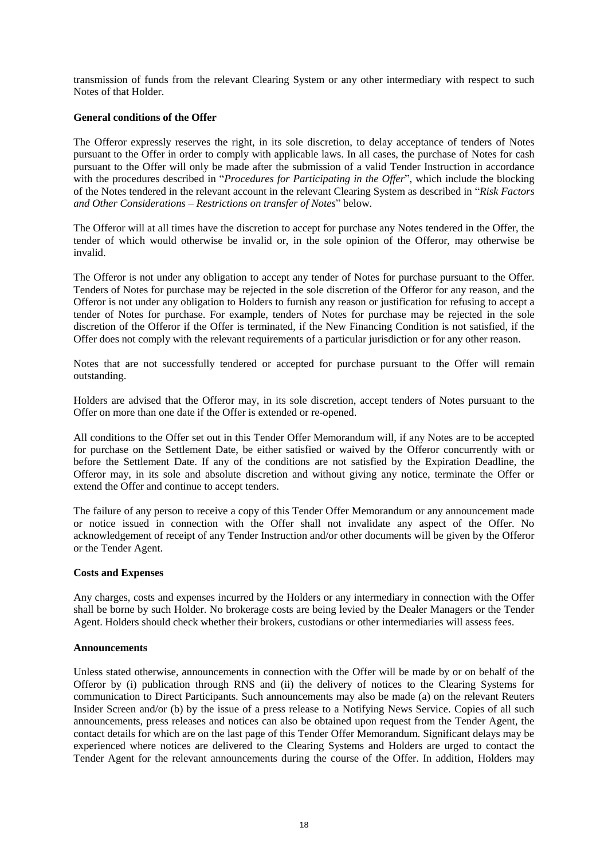transmission of funds from the relevant Clearing System or any other intermediary with respect to such Notes of that Holder.

## **General conditions of the Offer**

The Offeror expressly reserves the right, in its sole discretion, to delay acceptance of tenders of Notes pursuant to the Offer in order to comply with applicable laws. In all cases, the purchase of Notes for cash pursuant to the Offer will only be made after the submission of a valid Tender Instruction in accordance with the procedures described in "*Procedures for Participating in the Offer*", which include the blocking of the Notes tendered in the relevant account in the relevant Clearing System as described in "*Risk Factors and Other Considerations – Restrictions on transfer of Notes*" below.

The Offeror will at all times have the discretion to accept for purchase any Notes tendered in the Offer, the tender of which would otherwise be invalid or, in the sole opinion of the Offeror, may otherwise be invalid.

The Offeror is not under any obligation to accept any tender of Notes for purchase pursuant to the Offer. Tenders of Notes for purchase may be rejected in the sole discretion of the Offeror for any reason, and the Offeror is not under any obligation to Holders to furnish any reason or justification for refusing to accept a tender of Notes for purchase. For example, tenders of Notes for purchase may be rejected in the sole discretion of the Offeror if the Offer is terminated, if the New Financing Condition is not satisfied, if the Offer does not comply with the relevant requirements of a particular jurisdiction or for any other reason.

Notes that are not successfully tendered or accepted for purchase pursuant to the Offer will remain outstanding.

Holders are advised that the Offeror may, in its sole discretion, accept tenders of Notes pursuant to the Offer on more than one date if the Offer is extended or re-opened.

All conditions to the Offer set out in this Tender Offer Memorandum will, if any Notes are to be accepted for purchase on the Settlement Date, be either satisfied or waived by the Offeror concurrently with or before the Settlement Date. If any of the conditions are not satisfied by the Expiration Deadline, the Offeror may, in its sole and absolute discretion and without giving any notice, terminate the Offer or extend the Offer and continue to accept tenders.

The failure of any person to receive a copy of this Tender Offer Memorandum or any announcement made or notice issued in connection with the Offer shall not invalidate any aspect of the Offer. No acknowledgement of receipt of any Tender Instruction and/or other documents will be given by the Offeror or the Tender Agent.

### **Costs and Expenses**

Any charges, costs and expenses incurred by the Holders or any intermediary in connection with the Offer shall be borne by such Holder. No brokerage costs are being levied by the Dealer Managers or the Tender Agent. Holders should check whether their brokers, custodians or other intermediaries will assess fees.

#### **Announcements**

Unless stated otherwise, announcements in connection with the Offer will be made by or on behalf of the Offeror by (i) publication through RNS and (ii) the delivery of notices to the Clearing Systems for communication to Direct Participants. Such announcements may also be made (a) on the relevant Reuters Insider Screen and/or (b) by the issue of a press release to a Notifying News Service. Copies of all such announcements, press releases and notices can also be obtained upon request from the Tender Agent, the contact details for which are on the last page of this Tender Offer Memorandum. Significant delays may be experienced where notices are delivered to the Clearing Systems and Holders are urged to contact the Tender Agent for the relevant announcements during the course of the Offer. In addition, Holders may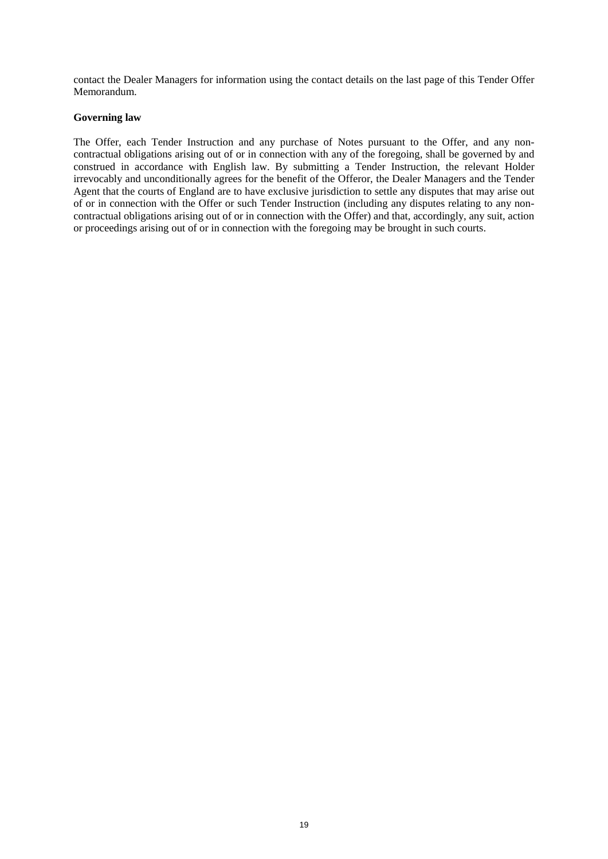contact the Dealer Managers for information using the contact details on the last page of this Tender Offer Memorandum.

## **Governing law**

The Offer, each Tender Instruction and any purchase of Notes pursuant to the Offer, and any noncontractual obligations arising out of or in connection with any of the foregoing, shall be governed by and construed in accordance with English law. By submitting a Tender Instruction, the relevant Holder irrevocably and unconditionally agrees for the benefit of the Offeror, the Dealer Managers and the Tender Agent that the courts of England are to have exclusive jurisdiction to settle any disputes that may arise out of or in connection with the Offer or such Tender Instruction (including any disputes relating to any noncontractual obligations arising out of or in connection with the Offer) and that, accordingly, any suit, action or proceedings arising out of or in connection with the foregoing may be brought in such courts.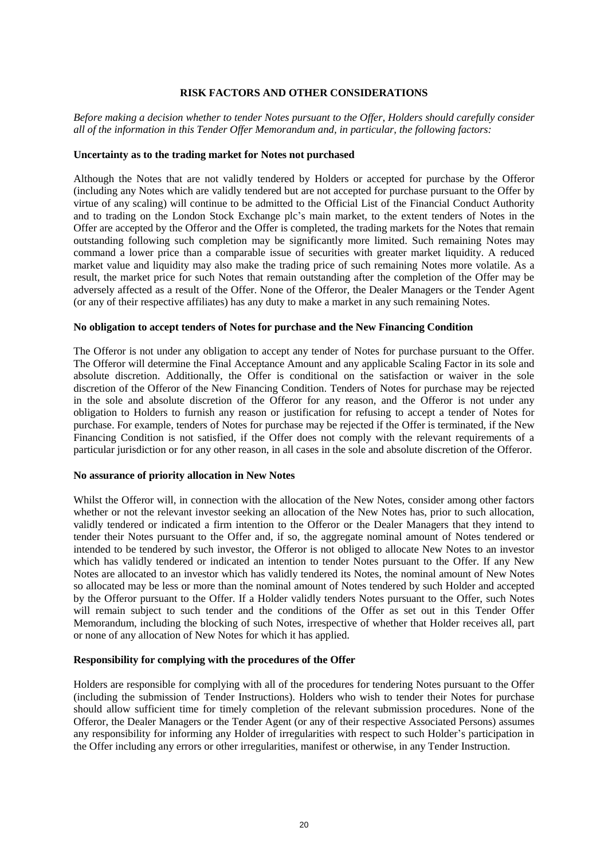#### **RISK FACTORS AND OTHER CONSIDERATIONS**

## *Before making a decision whether to tender Notes pursuant to the Offer, Holders should carefully consider all of the information in this Tender Offer Memorandum and, in particular, the following factors:*

#### **Uncertainty as to the trading market for Notes not purchased**

Although the Notes that are not validly tendered by Holders or accepted for purchase by the Offeror (including any Notes which are validly tendered but are not accepted for purchase pursuant to the Offer by virtue of any scaling) will continue to be admitted to the Official List of the Financial Conduct Authority and to trading on the London Stock Exchange plc's main market, to the extent tenders of Notes in the Offer are accepted by the Offeror and the Offer is completed, the trading markets for the Notes that remain outstanding following such completion may be significantly more limited. Such remaining Notes may command a lower price than a comparable issue of securities with greater market liquidity. A reduced market value and liquidity may also make the trading price of such remaining Notes more volatile. As a result, the market price for such Notes that remain outstanding after the completion of the Offer may be adversely affected as a result of the Offer. None of the Offeror, the Dealer Managers or the Tender Agent (or any of their respective affiliates) has any duty to make a market in any such remaining Notes.

#### **No obligation to accept tenders of Notes for purchase and the New Financing Condition**

The Offeror is not under any obligation to accept any tender of Notes for purchase pursuant to the Offer. The Offeror will determine the Final Acceptance Amount and any applicable Scaling Factor in its sole and absolute discretion. Additionally, the Offer is conditional on the satisfaction or waiver in the sole discretion of the Offeror of the New Financing Condition. Tenders of Notes for purchase may be rejected in the sole and absolute discretion of the Offeror for any reason, and the Offeror is not under any obligation to Holders to furnish any reason or justification for refusing to accept a tender of Notes for purchase. For example, tenders of Notes for purchase may be rejected if the Offer is terminated, if the New Financing Condition is not satisfied, if the Offer does not comply with the relevant requirements of a particular jurisdiction or for any other reason, in all cases in the sole and absolute discretion of the Offeror.

#### **No assurance of priority allocation in New Notes**

Whilst the Offeror will, in connection with the allocation of the New Notes, consider among other factors whether or not the relevant investor seeking an allocation of the New Notes has, prior to such allocation, validly tendered or indicated a firm intention to the Offeror or the Dealer Managers that they intend to tender their Notes pursuant to the Offer and, if so, the aggregate nominal amount of Notes tendered or intended to be tendered by such investor, the Offeror is not obliged to allocate New Notes to an investor which has validly tendered or indicated an intention to tender Notes pursuant to the Offer. If any New Notes are allocated to an investor which has validly tendered its Notes, the nominal amount of New Notes so allocated may be less or more than the nominal amount of Notes tendered by such Holder and accepted by the Offeror pursuant to the Offer. If a Holder validly tenders Notes pursuant to the Offer, such Notes will remain subject to such tender and the conditions of the Offer as set out in this Tender Offer Memorandum, including the blocking of such Notes, irrespective of whether that Holder receives all, part or none of any allocation of New Notes for which it has applied.

#### **Responsibility for complying with the procedures of the Offer**

Holders are responsible for complying with all of the procedures for tendering Notes pursuant to the Offer (including the submission of Tender Instructions). Holders who wish to tender their Notes for purchase should allow sufficient time for timely completion of the relevant submission procedures. None of the Offeror, the Dealer Managers or the Tender Agent (or any of their respective Associated Persons) assumes any responsibility for informing any Holder of irregularities with respect to such Holder's participation in the Offer including any errors or other irregularities, manifest or otherwise, in any Tender Instruction.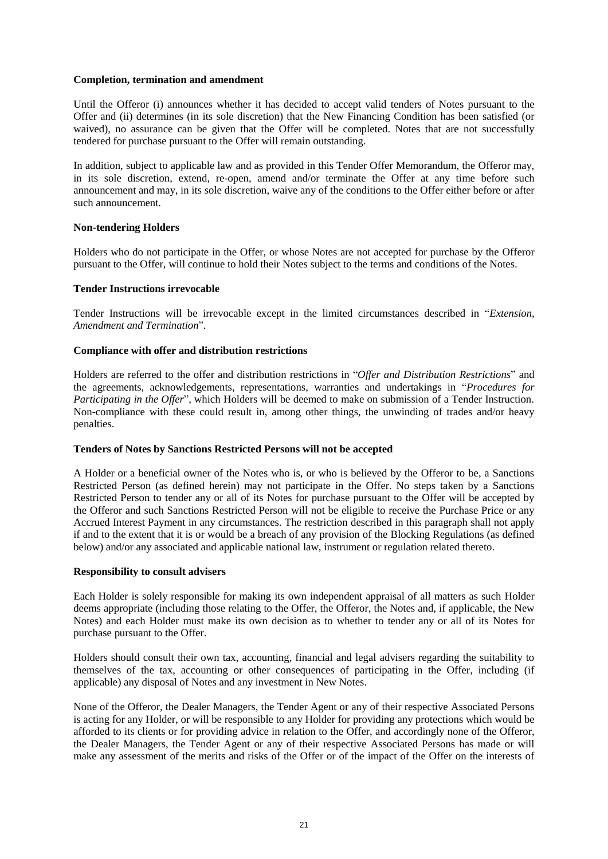## **Completion, termination and amendment**

Until the Offeror (i) announces whether it has decided to accept valid tenders of Notes pursuant to the Offer and (ii) determines (in its sole discretion) that the New Financing Condition has been satisfied (or waived), no assurance can be given that the Offer will be completed. Notes that are not successfully tendered for purchase pursuant to the Offer will remain outstanding.

In addition, subject to applicable law and as provided in this Tender Offer Memorandum, the Offeror may, in its sole discretion, extend, re-open, amend and/or terminate the Offer at any time before such announcement and may, in its sole discretion, waive any of the conditions to the Offer either before or after such announcement.

# **Non-tendering Holders**

Holders who do not participate in the Offer, or whose Notes are not accepted for purchase by the Offeror pursuant to the Offer, will continue to hold their Notes subject to the terms and conditions of the Notes.

# **Tender Instructions irrevocable**

Tender Instructions will be irrevocable except in the limited circumstances described in "*Extension, Amendment and Termination*".

# **Compliance with offer and distribution restrictions**

Holders are referred to the offer and distribution restrictions in "*Offer and Distribution Restrictions*" and the agreements, acknowledgements, representations, warranties and undertakings in "*Procedures for Participating in the Offer*", which Holders will be deemed to make on submission of a Tender Instruction. Non-compliance with these could result in, among other things, the unwinding of trades and/or heavy penalties.

### **Tenders of Notes by Sanctions Restricted Persons will not be accepted**

A Holder or a beneficial owner of the Notes who is, or who is believed by the Offeror to be, a Sanctions Restricted Person (as defined herein) may not participate in the Offer. No steps taken by a Sanctions Restricted Person to tender any or all of its Notes for purchase pursuant to the Offer will be accepted by the Offeror and such Sanctions Restricted Person will not be eligible to receive the Purchase Price or any Accrued Interest Payment in any circumstances. The restriction described in this paragraph shall not apply if and to the extent that it is or would be a breach of any provision of the Blocking Regulations (as defined below) and/or any associated and applicable national law, instrument or regulation related thereto.

### **Responsibility to consult advisers**

Each Holder is solely responsible for making its own independent appraisal of all matters as such Holder deems appropriate (including those relating to the Offer, the Offeror, the Notes and, if applicable, the New Notes) and each Holder must make its own decision as to whether to tender any or all of its Notes for purchase pursuant to the Offer.

Holders should consult their own tax, accounting, financial and legal advisers regarding the suitability to themselves of the tax, accounting or other consequences of participating in the Offer, including (if applicable) any disposal of Notes and any investment in New Notes.

None of the Offeror, the Dealer Managers, the Tender Agent or any of their respective Associated Persons is acting for any Holder, or will be responsible to any Holder for providing any protections which would be afforded to its clients or for providing advice in relation to the Offer, and accordingly none of the Offeror, the Dealer Managers, the Tender Agent or any of their respective Associated Persons has made or will make any assessment of the merits and risks of the Offer or of the impact of the Offer on the interests of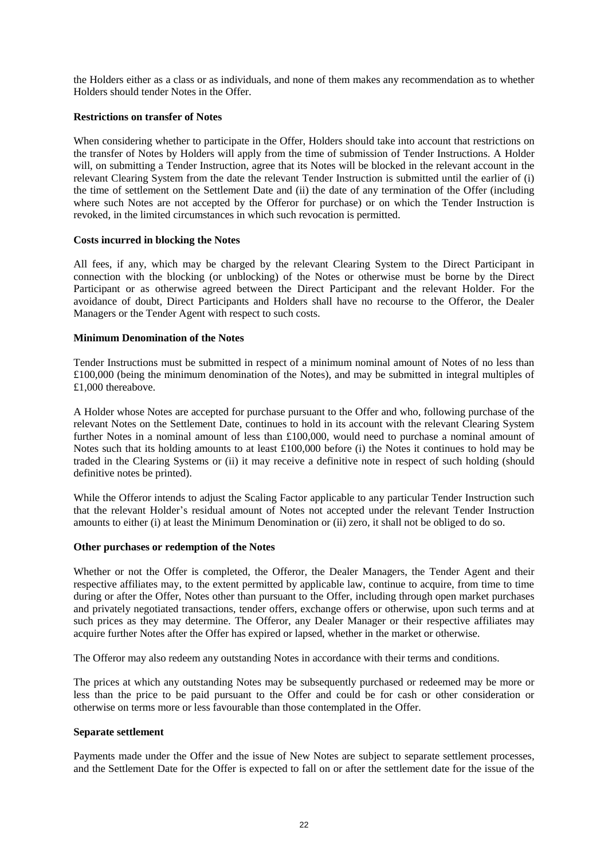the Holders either as a class or as individuals, and none of them makes any recommendation as to whether Holders should tender Notes in the Offer.

## **Restrictions on transfer of Notes**

When considering whether to participate in the Offer, Holders should take into account that restrictions on the transfer of Notes by Holders will apply from the time of submission of Tender Instructions. A Holder will, on submitting a Tender Instruction, agree that its Notes will be blocked in the relevant account in the relevant Clearing System from the date the relevant Tender Instruction is submitted until the earlier of (i) the time of settlement on the Settlement Date and (ii) the date of any termination of the Offer (including where such Notes are not accepted by the Offeror for purchase) or on which the Tender Instruction is revoked, in the limited circumstances in which such revocation is permitted.

### **Costs incurred in blocking the Notes**

All fees, if any, which may be charged by the relevant Clearing System to the Direct Participant in connection with the blocking (or unblocking) of the Notes or otherwise must be borne by the Direct Participant or as otherwise agreed between the Direct Participant and the relevant Holder. For the avoidance of doubt, Direct Participants and Holders shall have no recourse to the Offeror, the Dealer Managers or the Tender Agent with respect to such costs.

# **Minimum Denomination of the Notes**

Tender Instructions must be submitted in respect of a minimum nominal amount of Notes of no less than  $£100,000$  (being the minimum denomination of the Notes), and may be submitted in integral multiples of £1,000 thereabove.

A Holder whose Notes are accepted for purchase pursuant to the Offer and who, following purchase of the relevant Notes on the Settlement Date, continues to hold in its account with the relevant Clearing System further Notes in a nominal amount of less than £100,000, would need to purchase a nominal amount of Notes such that its holding amounts to at least £100,000 before (i) the Notes it continues to hold may be traded in the Clearing Systems or (ii) it may receive a definitive note in respect of such holding (should definitive notes be printed).

While the Offeror intends to adjust the Scaling Factor applicable to any particular Tender Instruction such that the relevant Holder's residual amount of Notes not accepted under the relevant Tender Instruction amounts to either (i) at least the Minimum Denomination or (ii) zero, it shall not be obliged to do so.

### **Other purchases or redemption of the Notes**

Whether or not the Offer is completed, the Offeror, the Dealer Managers, the Tender Agent and their respective affiliates may, to the extent permitted by applicable law, continue to acquire, from time to time during or after the Offer, Notes other than pursuant to the Offer, including through open market purchases and privately negotiated transactions, tender offers, exchange offers or otherwise, upon such terms and at such prices as they may determine. The Offeror, any Dealer Manager or their respective affiliates may acquire further Notes after the Offer has expired or lapsed, whether in the market or otherwise.

The Offeror may also redeem any outstanding Notes in accordance with their terms and conditions.

The prices at which any outstanding Notes may be subsequently purchased or redeemed may be more or less than the price to be paid pursuant to the Offer and could be for cash or other consideration or otherwise on terms more or less favourable than those contemplated in the Offer.

### **Separate settlement**

Payments made under the Offer and the issue of New Notes are subject to separate settlement processes, and the Settlement Date for the Offer is expected to fall on or after the settlement date for the issue of the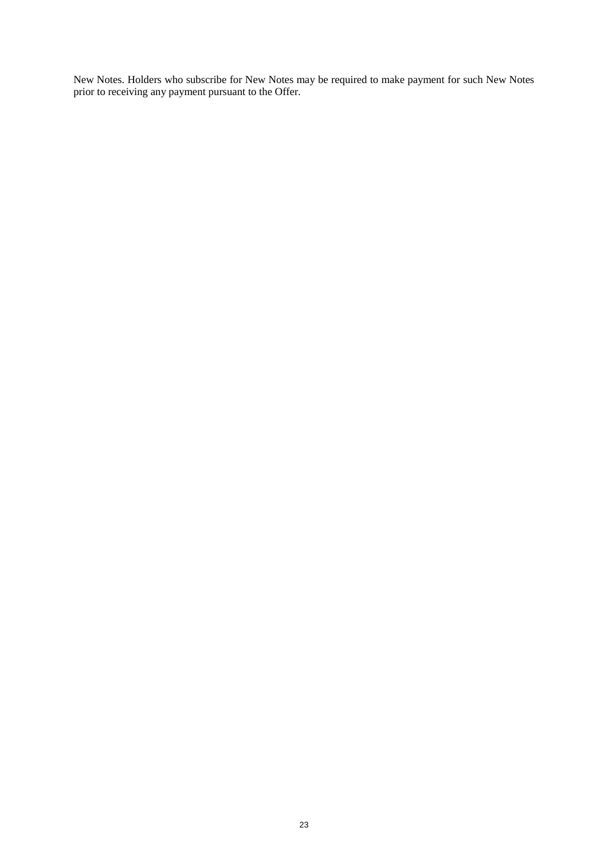New Notes. Holders who subscribe for New Notes may be required to make payment for such New Notes prior to receiving any payment pursuant to the Offer.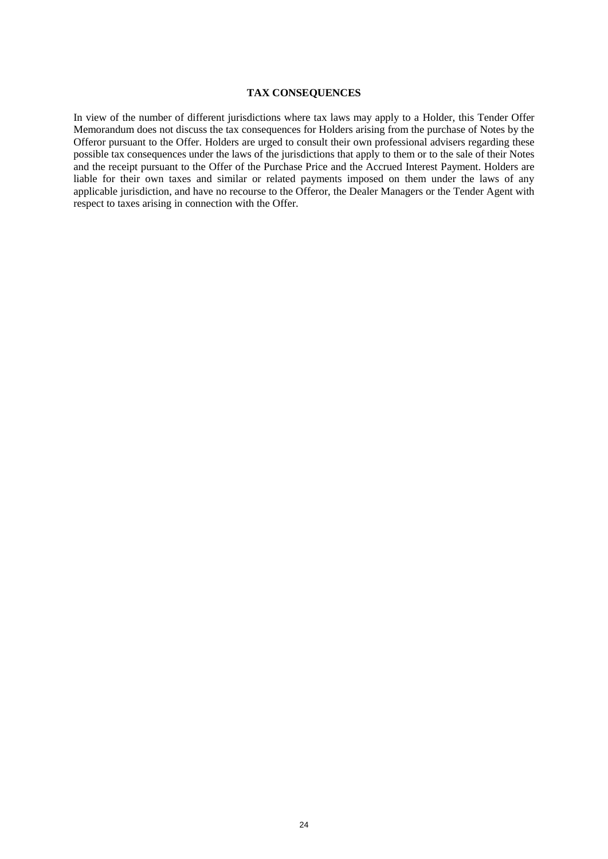# **TAX CONSEQUENCES**

In view of the number of different jurisdictions where tax laws may apply to a Holder, this Tender Offer Memorandum does not discuss the tax consequences for Holders arising from the purchase of Notes by the Offeror pursuant to the Offer. Holders are urged to consult their own professional advisers regarding these possible tax consequences under the laws of the jurisdictions that apply to them or to the sale of their Notes and the receipt pursuant to the Offer of the Purchase Price and the Accrued Interest Payment. Holders are liable for their own taxes and similar or related payments imposed on them under the laws of any applicable jurisdiction, and have no recourse to the Offeror, the Dealer Managers or the Tender Agent with respect to taxes arising in connection with the Offer.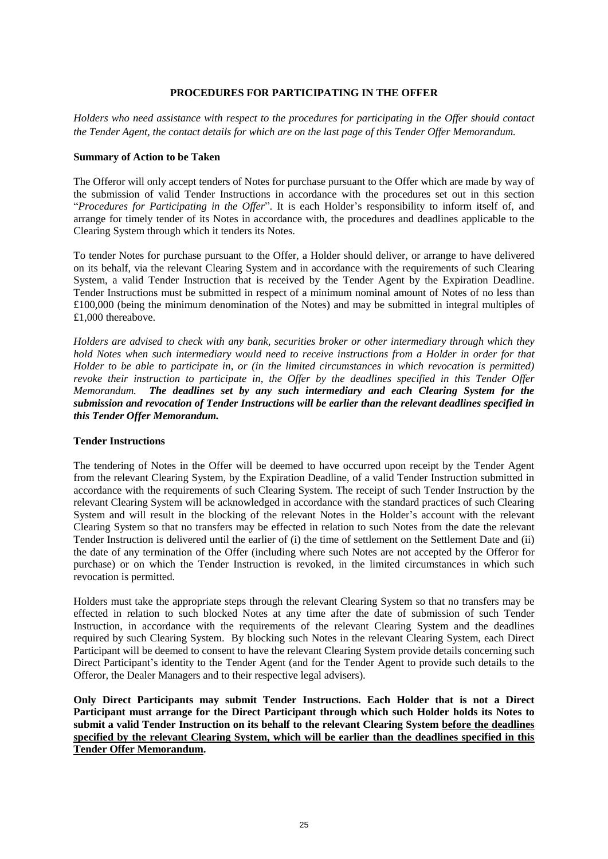# **PROCEDURES FOR PARTICIPATING IN THE OFFER**

*Holders who need assistance with respect to the procedures for participating in the Offer should contact the Tender Agent, the contact details for which are on the last page of this Tender Offer Memorandum.*

#### **Summary of Action to be Taken**

The Offeror will only accept tenders of Notes for purchase pursuant to the Offer which are made by way of the submission of valid Tender Instructions in accordance with the procedures set out in this section "*Procedures for Participating in the Offer*". It is each Holder's responsibility to inform itself of, and arrange for timely tender of its Notes in accordance with, the procedures and deadlines applicable to the Clearing System through which it tenders its Notes.

To tender Notes for purchase pursuant to the Offer, a Holder should deliver, or arrange to have delivered on its behalf, via the relevant Clearing System and in accordance with the requirements of such Clearing System, a valid Tender Instruction that is received by the Tender Agent by the Expiration Deadline. Tender Instructions must be submitted in respect of a minimum nominal amount of Notes of no less than £100,000 (being the minimum denomination of the Notes) and may be submitted in integral multiples of £1,000 thereabove.

*Holders are advised to check with any bank, securities broker or other intermediary through which they hold Notes when such intermediary would need to receive instructions from a Holder in order for that Holder to be able to participate in, or (in the limited circumstances in which revocation is permitted) revoke their instruction to participate in, the Offer by the deadlines specified in this Tender Offer Memorandum. The deadlines set by any such intermediary and each Clearing System for the submission and revocation of Tender Instructions will be earlier than the relevant deadlines specified in this Tender Offer Memorandum.*

## **Tender Instructions**

The tendering of Notes in the Offer will be deemed to have occurred upon receipt by the Tender Agent from the relevant Clearing System, by the Expiration Deadline, of a valid Tender Instruction submitted in accordance with the requirements of such Clearing System. The receipt of such Tender Instruction by the relevant Clearing System will be acknowledged in accordance with the standard practices of such Clearing System and will result in the blocking of the relevant Notes in the Holder's account with the relevant Clearing System so that no transfers may be effected in relation to such Notes from the date the relevant Tender Instruction is delivered until the earlier of (i) the time of settlement on the Settlement Date and (ii) the date of any termination of the Offer (including where such Notes are not accepted by the Offeror for purchase) or on which the Tender Instruction is revoked, in the limited circumstances in which such revocation is permitted.

Holders must take the appropriate steps through the relevant Clearing System so that no transfers may be effected in relation to such blocked Notes at any time after the date of submission of such Tender Instruction, in accordance with the requirements of the relevant Clearing System and the deadlines required by such Clearing System. By blocking such Notes in the relevant Clearing System, each Direct Participant will be deemed to consent to have the relevant Clearing System provide details concerning such Direct Participant's identity to the Tender Agent (and for the Tender Agent to provide such details to the Offeror, the Dealer Managers and to their respective legal advisers).

**Only Direct Participants may submit Tender Instructions. Each Holder that is not a Direct Participant must arrange for the Direct Participant through which such Holder holds its Notes to submit a valid Tender Instruction on its behalf to the relevant Clearing System before the deadlines specified by the relevant Clearing System, which will be earlier than the deadlines specified in this Tender Offer Memorandum.**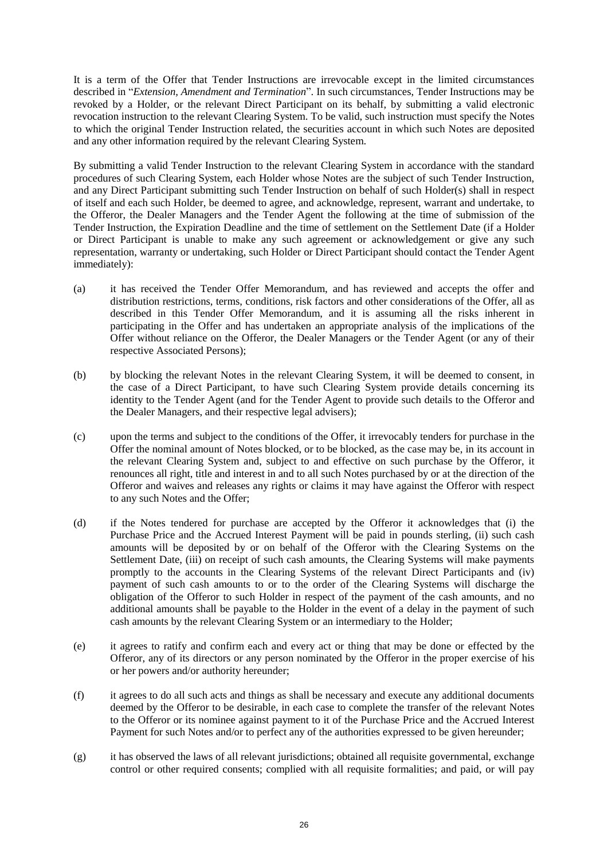It is a term of the Offer that Tender Instructions are irrevocable except in the limited circumstances described in "*Extension, Amendment and Termination*". In such circumstances, Tender Instructions may be revoked by a Holder, or the relevant Direct Participant on its behalf, by submitting a valid electronic revocation instruction to the relevant Clearing System. To be valid, such instruction must specify the Notes to which the original Tender Instruction related, the securities account in which such Notes are deposited and any other information required by the relevant Clearing System.

By submitting a valid Tender Instruction to the relevant Clearing System in accordance with the standard procedures of such Clearing System, each Holder whose Notes are the subject of such Tender Instruction, and any Direct Participant submitting such Tender Instruction on behalf of such Holder(s) shall in respect of itself and each such Holder, be deemed to agree, and acknowledge, represent, warrant and undertake, to the Offeror, the Dealer Managers and the Tender Agent the following at the time of submission of the Tender Instruction, the Expiration Deadline and the time of settlement on the Settlement Date (if a Holder or Direct Participant is unable to make any such agreement or acknowledgement or give any such representation, warranty or undertaking, such Holder or Direct Participant should contact the Tender Agent immediately):

- (a) it has received the Tender Offer Memorandum, and has reviewed and accepts the offer and distribution restrictions, terms, conditions, risk factors and other considerations of the Offer, all as described in this Tender Offer Memorandum, and it is assuming all the risks inherent in participating in the Offer and has undertaken an appropriate analysis of the implications of the Offer without reliance on the Offeror, the Dealer Managers or the Tender Agent (or any of their respective Associated Persons);
- (b) by blocking the relevant Notes in the relevant Clearing System, it will be deemed to consent, in the case of a Direct Participant, to have such Clearing System provide details concerning its identity to the Tender Agent (and for the Tender Agent to provide such details to the Offeror and the Dealer Managers, and their respective legal advisers);
- (c) upon the terms and subject to the conditions of the Offer, it irrevocably tenders for purchase in the Offer the nominal amount of Notes blocked, or to be blocked, as the case may be, in its account in the relevant Clearing System and, subject to and effective on such purchase by the Offeror, it renounces all right, title and interest in and to all such Notes purchased by or at the direction of the Offeror and waives and releases any rights or claims it may have against the Offeror with respect to any such Notes and the Offer;
- (d) if the Notes tendered for purchase are accepted by the Offeror it acknowledges that (i) the Purchase Price and the Accrued Interest Payment will be paid in pounds sterling, (ii) such cash amounts will be deposited by or on behalf of the Offeror with the Clearing Systems on the Settlement Date, (iii) on receipt of such cash amounts, the Clearing Systems will make payments promptly to the accounts in the Clearing Systems of the relevant Direct Participants and (iv) payment of such cash amounts to or to the order of the Clearing Systems will discharge the obligation of the Offeror to such Holder in respect of the payment of the cash amounts, and no additional amounts shall be payable to the Holder in the event of a delay in the payment of such cash amounts by the relevant Clearing System or an intermediary to the Holder;
- (e) it agrees to ratify and confirm each and every act or thing that may be done or effected by the Offeror, any of its directors or any person nominated by the Offeror in the proper exercise of his or her powers and/or authority hereunder;
- (f) it agrees to do all such acts and things as shall be necessary and execute any additional documents deemed by the Offeror to be desirable, in each case to complete the transfer of the relevant Notes to the Offeror or its nominee against payment to it of the Purchase Price and the Accrued Interest Payment for such Notes and/or to perfect any of the authorities expressed to be given hereunder;
- (g) it has observed the laws of all relevant jurisdictions; obtained all requisite governmental, exchange control or other required consents; complied with all requisite formalities; and paid, or will pay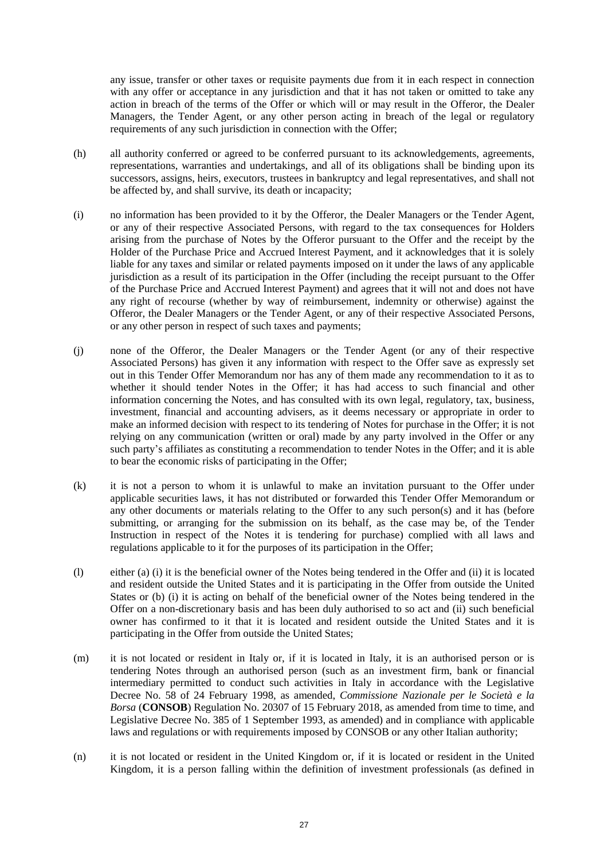any issue, transfer or other taxes or requisite payments due from it in each respect in connection with any offer or acceptance in any jurisdiction and that it has not taken or omitted to take any action in breach of the terms of the Offer or which will or may result in the Offeror, the Dealer Managers, the Tender Agent, or any other person acting in breach of the legal or regulatory requirements of any such jurisdiction in connection with the Offer;

- (h) all authority conferred or agreed to be conferred pursuant to its acknowledgements, agreements, representations, warranties and undertakings, and all of its obligations shall be binding upon its successors, assigns, heirs, executors, trustees in bankruptcy and legal representatives, and shall not be affected by, and shall survive, its death or incapacity;
- (i) no information has been provided to it by the Offeror, the Dealer Managers or the Tender Agent, or any of their respective Associated Persons, with regard to the tax consequences for Holders arising from the purchase of Notes by the Offeror pursuant to the Offer and the receipt by the Holder of the Purchase Price and Accrued Interest Payment, and it acknowledges that it is solely liable for any taxes and similar or related payments imposed on it under the laws of any applicable jurisdiction as a result of its participation in the Offer (including the receipt pursuant to the Offer of the Purchase Price and Accrued Interest Payment) and agrees that it will not and does not have any right of recourse (whether by way of reimbursement, indemnity or otherwise) against the Offeror, the Dealer Managers or the Tender Agent, or any of their respective Associated Persons, or any other person in respect of such taxes and payments;
- (j) none of the Offeror, the Dealer Managers or the Tender Agent (or any of their respective Associated Persons) has given it any information with respect to the Offer save as expressly set out in this Tender Offer Memorandum nor has any of them made any recommendation to it as to whether it should tender Notes in the Offer; it has had access to such financial and other information concerning the Notes, and has consulted with its own legal, regulatory, tax, business, investment, financial and accounting advisers, as it deems necessary or appropriate in order to make an informed decision with respect to its tendering of Notes for purchase in the Offer; it is not relying on any communication (written or oral) made by any party involved in the Offer or any such party's affiliates as constituting a recommendation to tender Notes in the Offer; and it is able to bear the economic risks of participating in the Offer;
- (k) it is not a person to whom it is unlawful to make an invitation pursuant to the Offer under applicable securities laws, it has not distributed or forwarded this Tender Offer Memorandum or any other documents or materials relating to the Offer to any such person(s) and it has (before submitting, or arranging for the submission on its behalf, as the case may be, of the Tender Instruction in respect of the Notes it is tendering for purchase) complied with all laws and regulations applicable to it for the purposes of its participation in the Offer;
- (l) either (a) (i) it is the beneficial owner of the Notes being tendered in the Offer and (ii) it is located and resident outside the United States and it is participating in the Offer from outside the United States or (b) (i) it is acting on behalf of the beneficial owner of the Notes being tendered in the Offer on a non-discretionary basis and has been duly authorised to so act and (ii) such beneficial owner has confirmed to it that it is located and resident outside the United States and it is participating in the Offer from outside the United States;
- (m) it is not located or resident in Italy or, if it is located in Italy, it is an authorised person or is tendering Notes through an authorised person (such as an investment firm, bank or financial intermediary permitted to conduct such activities in Italy in accordance with the Legislative Decree No. 58 of 24 February 1998, as amended, *Commissione Nazionale per le Società e la Borsa* (**CONSOB**) Regulation No. 20307 of 15 February 2018, as amended from time to time, and Legislative Decree No. 385 of 1 September 1993, as amended) and in compliance with applicable laws and regulations or with requirements imposed by CONSOB or any other Italian authority;
- (n) it is not located or resident in the United Kingdom or, if it is located or resident in the United Kingdom, it is a person falling within the definition of investment professionals (as defined in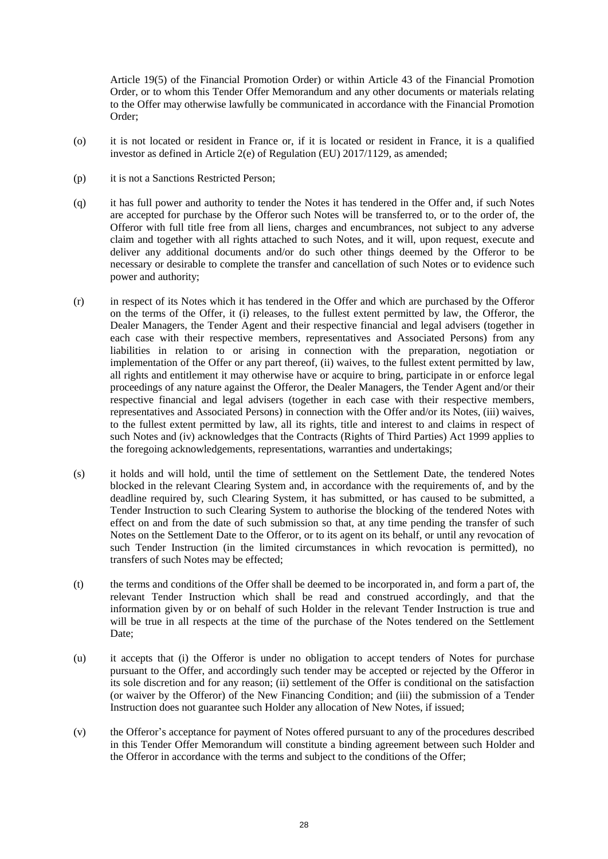Article 19(5) of the Financial Promotion Order) or within Article 43 of the Financial Promotion Order, or to whom this Tender Offer Memorandum and any other documents or materials relating to the Offer may otherwise lawfully be communicated in accordance with the Financial Promotion Order;

- (o) it is not located or resident in France or, if it is located or resident in France, it is a qualified investor as defined in Article 2(e) of Regulation (EU) 2017/1129, as amended;
- <span id="page-29-0"></span>(p) it is not a Sanctions Restricted Person;
- (q) it has full power and authority to tender the Notes it has tendered in the Offer and, if such Notes are accepted for purchase by the Offeror such Notes will be transferred to, or to the order of, the Offeror with full title free from all liens, charges and encumbrances, not subject to any adverse claim and together with all rights attached to such Notes, and it will, upon request, execute and deliver any additional documents and/or do such other things deemed by the Offeror to be necessary or desirable to complete the transfer and cancellation of such Notes or to evidence such power and authority;
- (r) in respect of its Notes which it has tendered in the Offer and which are purchased by the Offeror on the terms of the Offer, it (i) releases, to the fullest extent permitted by law, the Offeror, the Dealer Managers, the Tender Agent and their respective financial and legal advisers (together in each case with their respective members, representatives and Associated Persons) from any liabilities in relation to or arising in connection with the preparation, negotiation or implementation of the Offer or any part thereof, (ii) waives, to the fullest extent permitted by law, all rights and entitlement it may otherwise have or acquire to bring, participate in or enforce legal proceedings of any nature against the Offeror, the Dealer Managers, the Tender Agent and/or their respective financial and legal advisers (together in each case with their respective members, representatives and Associated Persons) in connection with the Offer and/or its Notes, (iii) waives, to the fullest extent permitted by law, all its rights, title and interest to and claims in respect of such Notes and (iv) acknowledges that the Contracts (Rights of Third Parties) Act 1999 applies to the foregoing acknowledgements, representations, warranties and undertakings;
- (s) it holds and will hold, until the time of settlement on the Settlement Date, the tendered Notes blocked in the relevant Clearing System and, in accordance with the requirements of, and by the deadline required by, such Clearing System, it has submitted, or has caused to be submitted, a Tender Instruction to such Clearing System to authorise the blocking of the tendered Notes with effect on and from the date of such submission so that, at any time pending the transfer of such Notes on the Settlement Date to the Offeror, or to its agent on its behalf, or until any revocation of such Tender Instruction (in the limited circumstances in which revocation is permitted), no transfers of such Notes may be effected;
- (t) the terms and conditions of the Offer shall be deemed to be incorporated in, and form a part of, the relevant Tender Instruction which shall be read and construed accordingly, and that the information given by or on behalf of such Holder in the relevant Tender Instruction is true and will be true in all respects at the time of the purchase of the Notes tendered on the Settlement Date:
- (u) it accepts that (i) the Offeror is under no obligation to accept tenders of Notes for purchase pursuant to the Offer, and accordingly such tender may be accepted or rejected by the Offeror in its sole discretion and for any reason; (ii) settlement of the Offer is conditional on the satisfaction (or waiver by the Offeror) of the New Financing Condition; and (iii) the submission of a Tender Instruction does not guarantee such Holder any allocation of New Notes, if issued;
- (v) the Offeror's acceptance for payment of Notes offered pursuant to any of the procedures described in this Tender Offer Memorandum will constitute a binding agreement between such Holder and the Offeror in accordance with the terms and subject to the conditions of the Offer;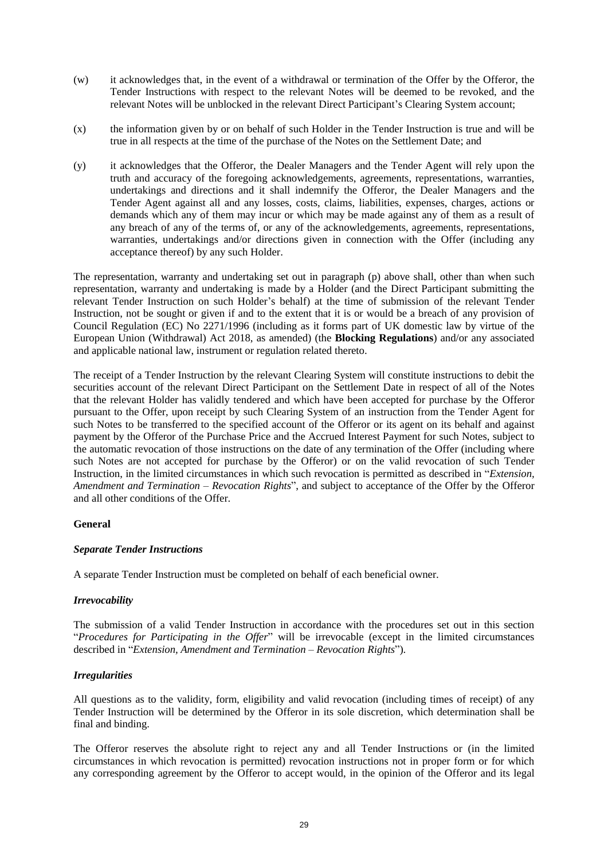- (w) it acknowledges that, in the event of a withdrawal or termination of the Offer by the Offeror, the Tender Instructions with respect to the relevant Notes will be deemed to be revoked, and the relevant Notes will be unblocked in the relevant Direct Participant's Clearing System account;
- (x) the information given by or on behalf of such Holder in the Tender Instruction is true and will be true in all respects at the time of the purchase of the Notes on the Settlement Date; and
- (y) it acknowledges that the Offeror, the Dealer Managers and the Tender Agent will rely upon the truth and accuracy of the foregoing acknowledgements, agreements, representations, warranties, undertakings and directions and it shall indemnify the Offeror, the Dealer Managers and the Tender Agent against all and any losses, costs, claims, liabilities, expenses, charges, actions or demands which any of them may incur or which may be made against any of them as a result of any breach of any of the terms of, or any of the acknowledgements, agreements, representations, warranties, undertakings and/or directions given in connection with the Offer (including any acceptance thereof) by any such Holder.

The representation, warranty and undertaking set out in paragraph [\(p\)](#page-29-0) above shall, other than when such representation, warranty and undertaking is made by a Holder (and the Direct Participant submitting the relevant Tender Instruction on such Holder's behalf) at the time of submission of the relevant Tender Instruction, not be sought or given if and to the extent that it is or would be a breach of any provision of Council Regulation (EC) No 2271/1996 (including as it forms part of UK domestic law by virtue of the European Union (Withdrawal) Act 2018, as amended) (the **Blocking Regulations**) and/or any associated and applicable national law, instrument or regulation related thereto.

The receipt of a Tender Instruction by the relevant Clearing System will constitute instructions to debit the securities account of the relevant Direct Participant on the Settlement Date in respect of all of the Notes that the relevant Holder has validly tendered and which have been accepted for purchase by the Offeror pursuant to the Offer, upon receipt by such Clearing System of an instruction from the Tender Agent for such Notes to be transferred to the specified account of the Offeror or its agent on its behalf and against payment by the Offeror of the Purchase Price and the Accrued Interest Payment for such Notes, subject to the automatic revocation of those instructions on the date of any termination of the Offer (including where such Notes are not accepted for purchase by the Offeror) or on the valid revocation of such Tender Instruction, in the limited circumstances in which such revocation is permitted as described in "*Extension, Amendment and Termination – Revocation Rights*", and subject to acceptance of the Offer by the Offeror and all other conditions of the Offer.

# **General**

# *Separate Tender Instructions*

A separate Tender Instruction must be completed on behalf of each beneficial owner.

# *Irrevocability*

The submission of a valid Tender Instruction in accordance with the procedures set out in this section "*Procedures for Participating in the Offer*" will be irrevocable (except in the limited circumstances described in "*Extension, Amendment and Termination – Revocation Rights*").

# *Irregularities*

All questions as to the validity, form, eligibility and valid revocation (including times of receipt) of any Tender Instruction will be determined by the Offeror in its sole discretion, which determination shall be final and binding.

The Offeror reserves the absolute right to reject any and all Tender Instructions or (in the limited circumstances in which revocation is permitted) revocation instructions not in proper form or for which any corresponding agreement by the Offeror to accept would, in the opinion of the Offeror and its legal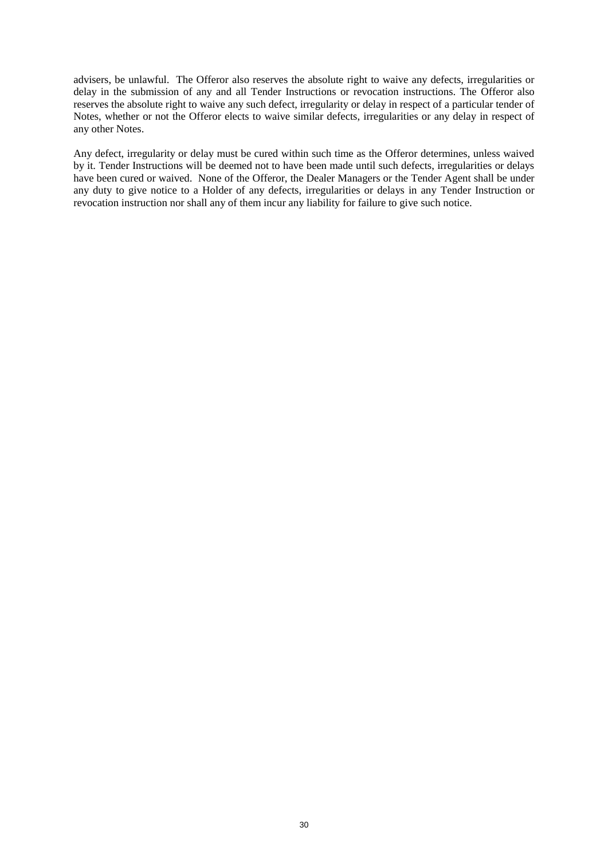advisers, be unlawful. The Offeror also reserves the absolute right to waive any defects, irregularities or delay in the submission of any and all Tender Instructions or revocation instructions. The Offeror also reserves the absolute right to waive any such defect, irregularity or delay in respect of a particular tender of Notes, whether or not the Offeror elects to waive similar defects, irregularities or any delay in respect of any other Notes.

Any defect, irregularity or delay must be cured within such time as the Offeror determines, unless waived by it. Tender Instructions will be deemed not to have been made until such defects, irregularities or delays have been cured or waived. None of the Offeror, the Dealer Managers or the Tender Agent shall be under any duty to give notice to a Holder of any defects, irregularities or delays in any Tender Instruction or revocation instruction nor shall any of them incur any liability for failure to give such notice.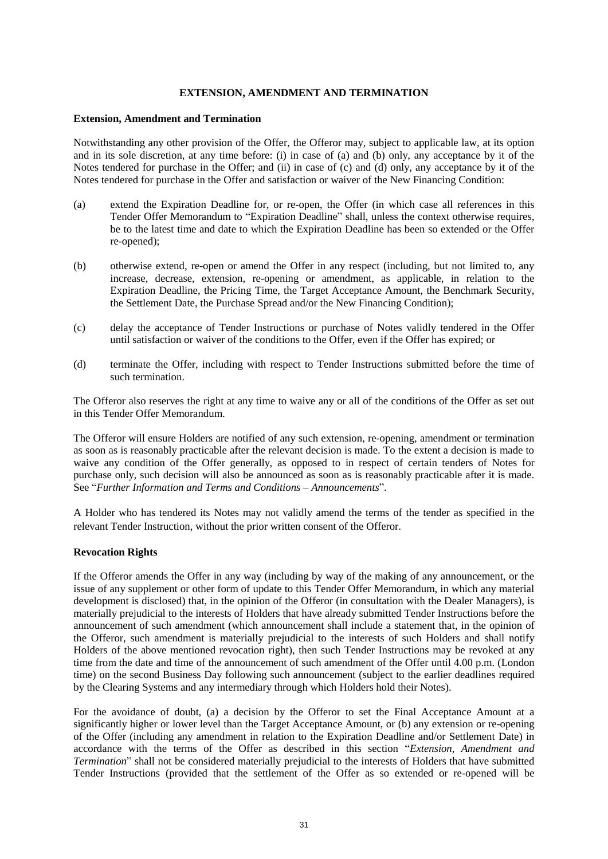## **EXTENSION, AMENDMENT AND TERMINATION**

#### **Extension, Amendment and Termination**

Notwithstanding any other provision of the Offer, the Offeror may, subject to applicable law, at its option and in its sole discretion, at any time before: (i) in case of (a) and (b) only, any acceptance by it of the Notes tendered for purchase in the Offer; and (ii) in case of (c) and (d) only, any acceptance by it of the Notes tendered for purchase in the Offer and satisfaction or waiver of the New Financing Condition:

- (a) extend the Expiration Deadline for, or re-open, the Offer (in which case all references in this Tender Offer Memorandum to "Expiration Deadline" shall, unless the context otherwise requires, be to the latest time and date to which the Expiration Deadline has been so extended or the Offer re-opened);
- (b) otherwise extend, re-open or amend the Offer in any respect (including, but not limited to, any increase, decrease, extension, re-opening or amendment, as applicable, in relation to the Expiration Deadline, the Pricing Time, the Target Acceptance Amount, the Benchmark Security, the Settlement Date, the Purchase Spread and/or the New Financing Condition);
- (c) delay the acceptance of Tender Instructions or purchase of Notes validly tendered in the Offer until satisfaction or waiver of the conditions to the Offer, even if the Offer has expired; or
- (d) terminate the Offer, including with respect to Tender Instructions submitted before the time of such termination.

The Offeror also reserves the right at any time to waive any or all of the conditions of the Offer as set out in this Tender Offer Memorandum.

The Offeror will ensure Holders are notified of any such extension, re-opening, amendment or termination as soon as is reasonably practicable after the relevant decision is made. To the extent a decision is made to waive any condition of the Offer generally, as opposed to in respect of certain tenders of Notes for purchase only, such decision will also be announced as soon as is reasonably practicable after it is made. See "*Further Information and Terms and Conditions – Announcements*".

A Holder who has tendered its Notes may not validly amend the terms of the tender as specified in the relevant Tender Instruction, without the prior written consent of the Offeror.

### **Revocation Rights**

If the Offeror amends the Offer in any way (including by way of the making of any announcement, or the issue of any supplement or other form of update to this Tender Offer Memorandum, in which any material development is disclosed) that, in the opinion of the Offeror (in consultation with the Dealer Managers), is materially prejudicial to the interests of Holders that have already submitted Tender Instructions before the announcement of such amendment (which announcement shall include a statement that, in the opinion of the Offeror, such amendment is materially prejudicial to the interests of such Holders and shall notify Holders of the above mentioned revocation right), then such Tender Instructions may be revoked at any time from the date and time of the announcement of such amendment of the Offer until 4.00 p.m. (London time) on the second Business Day following such announcement (subject to the earlier deadlines required by the Clearing Systems and any intermediary through which Holders hold their Notes).

For the avoidance of doubt, (a) a decision by the Offeror to set the Final Acceptance Amount at a significantly higher or lower level than the Target Acceptance Amount, or (b) any extension or re-opening of the Offer (including any amendment in relation to the Expiration Deadline and/or Settlement Date) in accordance with the terms of the Offer as described in this section "*Extension, Amendment and Termination*" shall not be considered materially prejudicial to the interests of Holders that have submitted Tender Instructions (provided that the settlement of the Offer as so extended or re-opened will be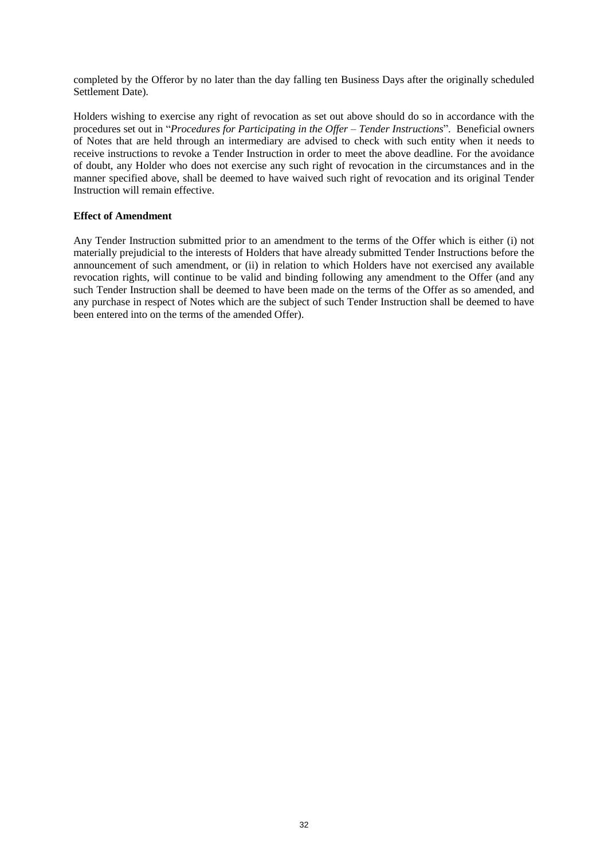completed by the Offeror by no later than the day falling ten Business Days after the originally scheduled Settlement Date).

Holders wishing to exercise any right of revocation as set out above should do so in accordance with the procedures set out in "*Procedures for Participating in the Offer – Tender Instructions*". Beneficial owners of Notes that are held through an intermediary are advised to check with such entity when it needs to receive instructions to revoke a Tender Instruction in order to meet the above deadline. For the avoidance of doubt, any Holder who does not exercise any such right of revocation in the circumstances and in the manner specified above, shall be deemed to have waived such right of revocation and its original Tender Instruction will remain effective.

# **Effect of Amendment**

Any Tender Instruction submitted prior to an amendment to the terms of the Offer which is either (i) not materially prejudicial to the interests of Holders that have already submitted Tender Instructions before the announcement of such amendment, or (ii) in relation to which Holders have not exercised any available revocation rights, will continue to be valid and binding following any amendment to the Offer (and any such Tender Instruction shall be deemed to have been made on the terms of the Offer as so amended, and any purchase in respect of Notes which are the subject of such Tender Instruction shall be deemed to have been entered into on the terms of the amended Offer).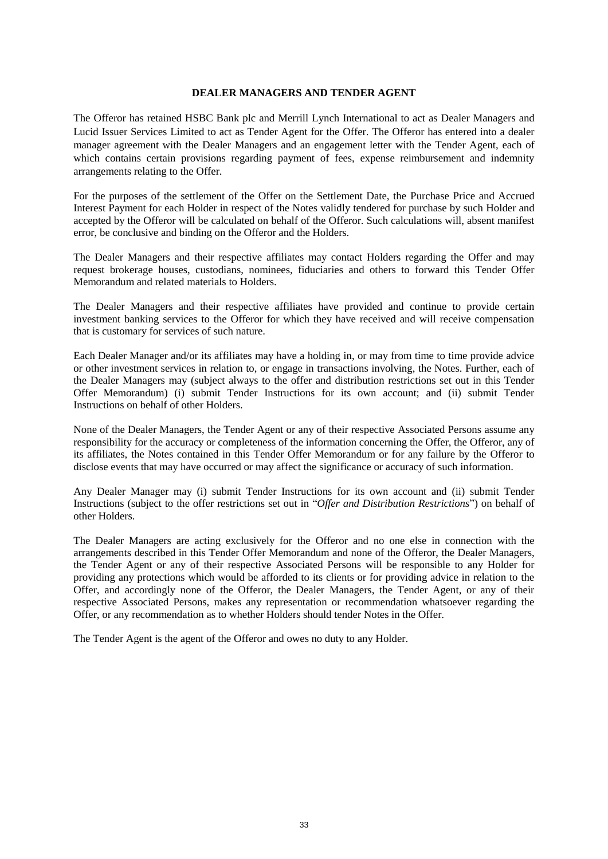#### **DEALER MANAGERS AND TENDER AGENT**

The Offeror has retained HSBC Bank plc and Merrill Lynch International to act as Dealer Managers and Lucid Issuer Services Limited to act as Tender Agent for the Offer. The Offeror has entered into a dealer manager agreement with the Dealer Managers and an engagement letter with the Tender Agent, each of which contains certain provisions regarding payment of fees, expense reimbursement and indemnity arrangements relating to the Offer.

For the purposes of the settlement of the Offer on the Settlement Date, the Purchase Price and Accrued Interest Payment for each Holder in respect of the Notes validly tendered for purchase by such Holder and accepted by the Offeror will be calculated on behalf of the Offeror. Such calculations will, absent manifest error, be conclusive and binding on the Offeror and the Holders.

The Dealer Managers and their respective affiliates may contact Holders regarding the Offer and may request brokerage houses, custodians, nominees, fiduciaries and others to forward this Tender Offer Memorandum and related materials to Holders.

The Dealer Managers and their respective affiliates have provided and continue to provide certain investment banking services to the Offeror for which they have received and will receive compensation that is customary for services of such nature.

Each Dealer Manager and/or its affiliates may have a holding in, or may from time to time provide advice or other investment services in relation to, or engage in transactions involving, the Notes. Further, each of the Dealer Managers may (subject always to the offer and distribution restrictions set out in this Tender Offer Memorandum) (i) submit Tender Instructions for its own account; and (ii) submit Tender Instructions on behalf of other Holders.

None of the Dealer Managers, the Tender Agent or any of their respective Associated Persons assume any responsibility for the accuracy or completeness of the information concerning the Offer, the Offeror, any of its affiliates, the Notes contained in this Tender Offer Memorandum or for any failure by the Offeror to disclose events that may have occurred or may affect the significance or accuracy of such information.

Any Dealer Manager may (i) submit Tender Instructions for its own account and (ii) submit Tender Instructions (subject to the offer restrictions set out in "*Offer and Distribution Restrictions*") on behalf of other Holders.

The Dealer Managers are acting exclusively for the Offeror and no one else in connection with the arrangements described in this Tender Offer Memorandum and none of the Offeror, the Dealer Managers, the Tender Agent or any of their respective Associated Persons will be responsible to any Holder for providing any protections which would be afforded to its clients or for providing advice in relation to the Offer, and accordingly none of the Offeror, the Dealer Managers, the Tender Agent, or any of their respective Associated Persons, makes any representation or recommendation whatsoever regarding the Offer, or any recommendation as to whether Holders should tender Notes in the Offer.

The Tender Agent is the agent of the Offeror and owes no duty to any Holder.